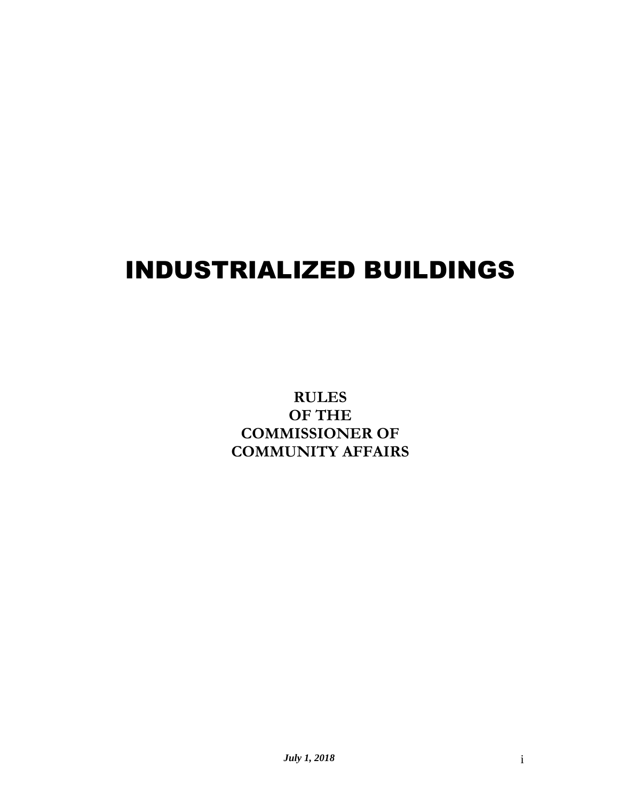# INDUSTRIALIZED BUILDINGS

**RULES OF THE COMMISSIONER OF COMMUNITY AFFAIRS**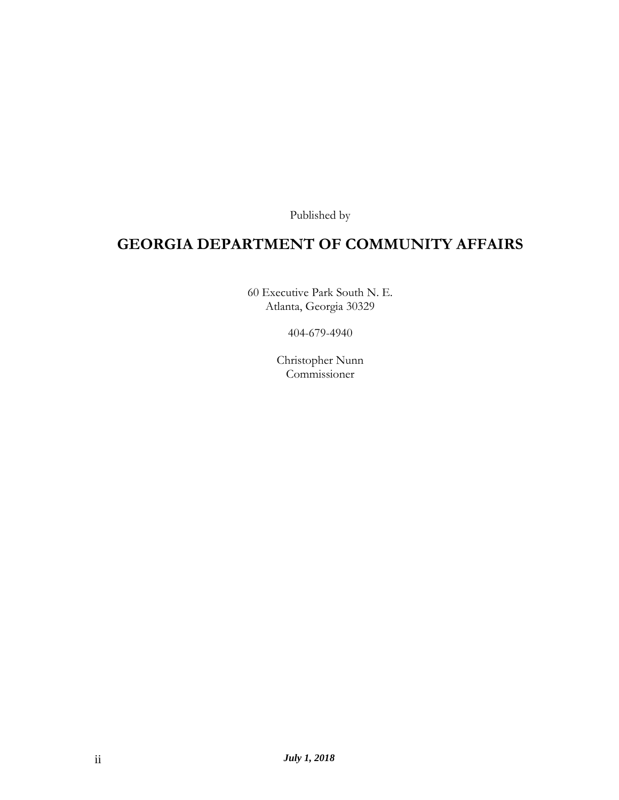Published by

# **GEORGIA DEPARTMENT OF COMMUNITY AFFAIRS**

60 Executive Park South N. E. Atlanta, Georgia 30329

404-679-4940

Christopher Nunn Commissioner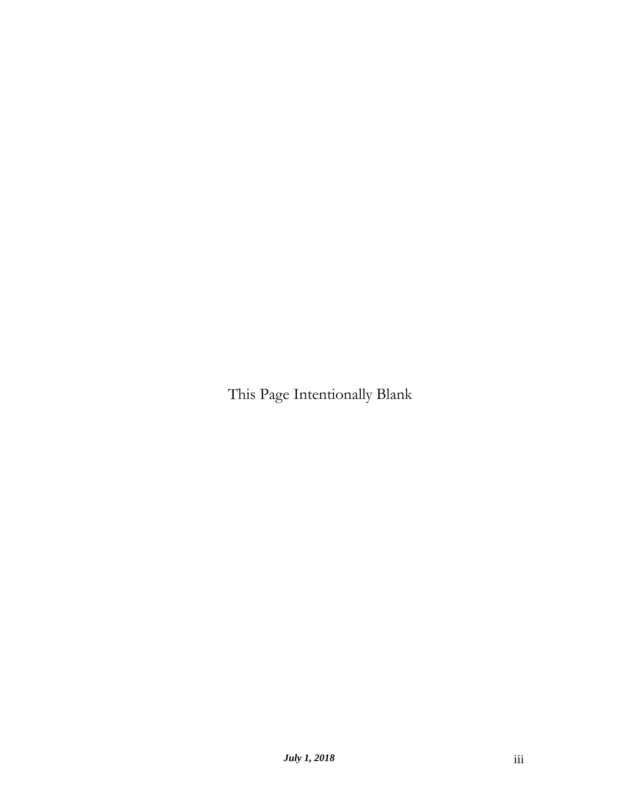This Page Intentionally Blank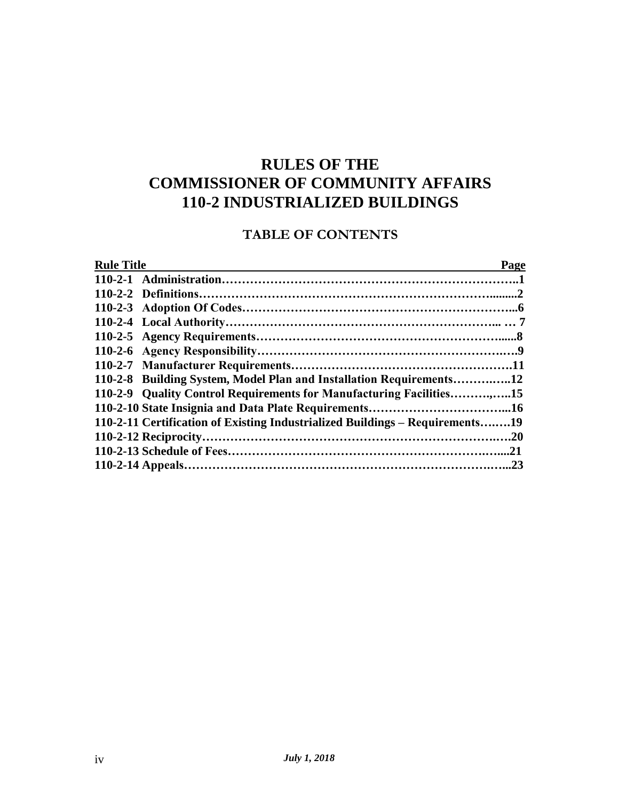# **RULES OF THE COMMISSIONER OF COMMUNITY AFFAIRS 110-2 INDUSTRIALIZED BUILDINGS**

# **TABLE OF CONTENTS**

| <b>Rule Title</b>                                                            | Page |
|------------------------------------------------------------------------------|------|
|                                                                              |      |
|                                                                              |      |
|                                                                              |      |
|                                                                              |      |
|                                                                              |      |
|                                                                              |      |
|                                                                              |      |
| 110-2-8 Building System, Model Plan and Installation Requirements12          |      |
| 110-2-9 Quality Control Requirements for Manufacturing Facilities15          |      |
|                                                                              |      |
| 110-2-11 Certification of Existing Industrialized Buildings – Requirements19 |      |
|                                                                              |      |
|                                                                              |      |
|                                                                              |      |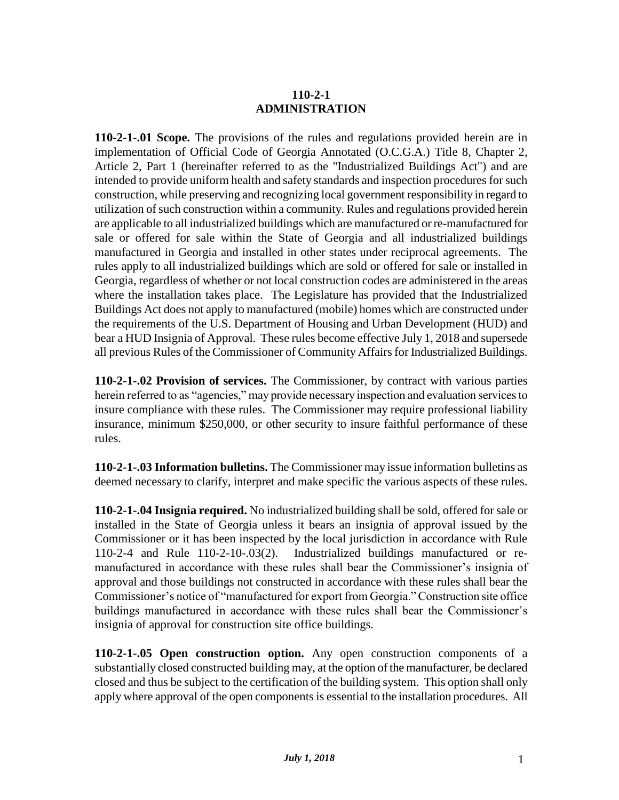#### **110-2-1 ADMINISTRATION**

**110-2-1-.01 Scope.** The provisions of the rules and regulations provided herein are in implementation of Official Code of Georgia Annotated (O.C.G.A.) Title 8, Chapter 2, Article 2, Part 1 (hereinafter referred to as the "Industrialized Buildings Act") and are intended to provide uniform health and safety standards and inspection procedures for such construction, while preserving and recognizing local government responsibility in regard to utilization of such construction within a community. Rules and regulations provided herein are applicable to all industrialized buildings which are manufactured or re-manufactured for sale or offered for sale within the State of Georgia and all industrialized buildings manufactured in Georgia and installed in other states under reciprocal agreements. The rules apply to all industrialized buildings which are sold or offered for sale or installed in Georgia, regardless of whether or not local construction codes are administered in the areas where the installation takes place. The Legislature has provided that the Industrialized Buildings Act does not apply to manufactured (mobile) homes which are constructed under the requirements of the U.S. Department of Housing and Urban Development (HUD) and bear a HUD Insignia of Approval. These rules become effective July 1, 2018 and supersede all previous Rules of the Commissioner of Community Affairs for Industrialized Buildings.

**110-2-1-.02 Provision of services.** The Commissioner, by contract with various parties herein referred to as "agencies," may provide necessary inspection and evaluation services to insure compliance with these rules. The Commissioner may require professional liability insurance, minimum \$250,000, or other security to insure faithful performance of these rules.

**110-2-1-.03 Information bulletins.** The Commissioner may issue information bulletins as deemed necessary to clarify, interpret and make specific the various aspects of these rules.

**110-2-1-.04 Insignia required.** No industrialized building shall be sold, offered for sale or installed in the State of Georgia unless it bears an insignia of approval issued by the Commissioner or it has been inspected by the local jurisdiction in accordance with Rule 110-2-4 and Rule 110-2-10-.03(2). Industrialized buildings manufactured or remanufactured in accordance with these rules shall bear the Commissioner's insignia of approval and those buildings not constructed in accordance with these rules shall bear the Commissioner's notice of "manufactured for export from Georgia." Construction site office buildings manufactured in accordance with these rules shall bear the Commissioner's insignia of approval for construction site office buildings.

**110-2-1-.05 Open construction option.** Any open construction components of a substantially closed constructed building may, at the option of the manufacturer, be declared closed and thus be subject to the certification of the building system. This option shall only apply where approval of the open components is essential to the installation procedures. All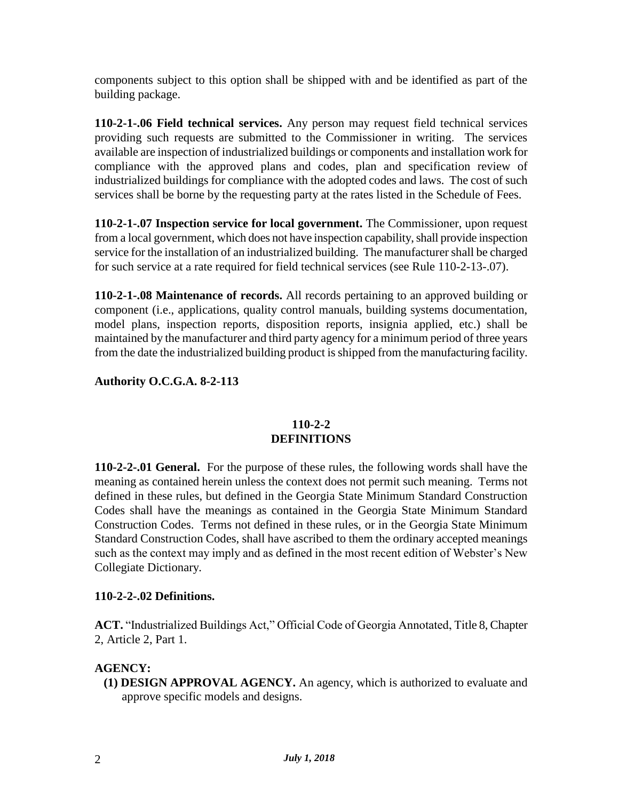components subject to this option shall be shipped with and be identified as part of the building package.

**110-2-1-.06 Field technical services.** Any person may request field technical services providing such requests are submitted to the Commissioner in writing. The services available are inspection of industrialized buildings or components and installation work for compliance with the approved plans and codes, plan and specification review of industrialized buildings for compliance with the adopted codes and laws. The cost of such services shall be borne by the requesting party at the rates listed in the Schedule of Fees.

**110-2-1-.07 Inspection service for local government.** The Commissioner, upon request from a local government, which does not have inspection capability, shall provide inspection service for the installation of an industrialized building. The manufacturer shall be charged for such service at a rate required for field technical services (see Rule 110-2-13-.07).

**110-2-1-.08 Maintenance of records.** All records pertaining to an approved building or component (i.e., applications, quality control manuals, building systems documentation, model plans, inspection reports, disposition reports, insignia applied, etc.) shall be maintained by the manufacturer and third party agency for a minimum period of three years from the date the industrialized building product is shipped from the manufacturing facility.

**Authority O.C.G.A. 8-2-113**

#### **110-2-2 DEFINITIONS**

**110-2-2-.01 General.** For the purpose of these rules, the following words shall have the meaning as contained herein unless the context does not permit such meaning. Terms not defined in these rules, but defined in the Georgia State Minimum Standard Construction Codes shall have the meanings as contained in the Georgia State Minimum Standard Construction Codes. Terms not defined in these rules, or in the Georgia State Minimum Standard Construction Codes, shall have ascribed to them the ordinary accepted meanings such as the context may imply and as defined in the most recent edition of Webster's New Collegiate Dictionary.

# **110-2-2-.02 Definitions.**

**ACT.** "Industrialized Buildings Act," Official Code of Georgia Annotated, Title 8, Chapter 2, Article 2, Part 1.

# **AGENCY:**

**(1) DESIGN APPROVAL AGENCY.** An agency, which is authorized to evaluate and approve specific models and designs.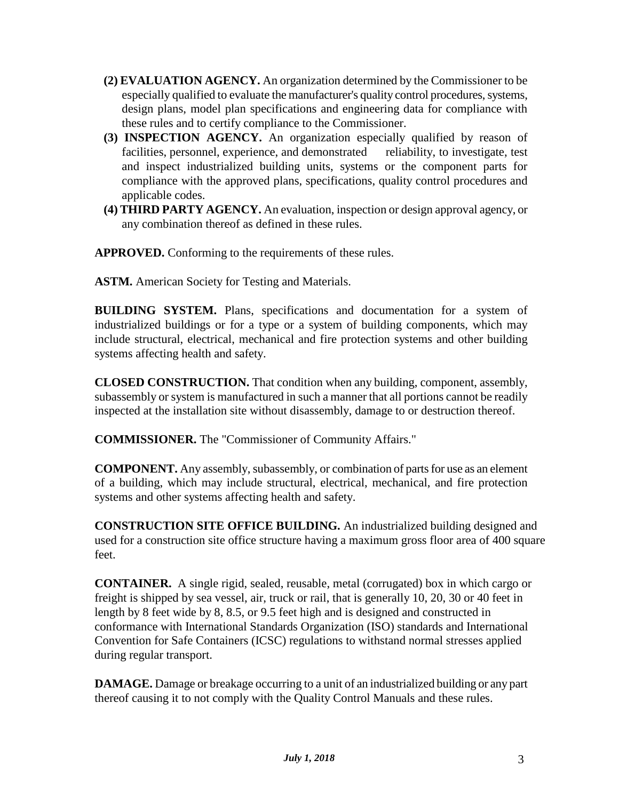- **(2) EVALUATION AGENCY.** An organization determined by the Commissioner to be especially qualified to evaluate the manufacturer's quality control procedures, systems, design plans, model plan specifications and engineering data for compliance with these rules and to certify compliance to the Commissioner.
- **(3) INSPECTION AGENCY.** An organization especially qualified by reason of facilities, personnel, experience, and demonstrated reliability, to investigate, test and inspect industrialized building units, systems or the component parts for compliance with the approved plans, specifications, quality control procedures and applicable codes.
- **(4) THIRD PARTY AGENCY.** An evaluation, inspection or design approval agency, or any combination thereof as defined in these rules.

**APPROVED.** Conforming to the requirements of these rules.

**ASTM.** American Society for Testing and Materials.

**BUILDING SYSTEM.** Plans, specifications and documentation for a system of industrialized buildings or for a type or a system of building components, which may include structural, electrical, mechanical and fire protection systems and other building systems affecting health and safety.

**CLOSED CONSTRUCTION.** That condition when any building, component, assembly, subassembly or system is manufactured in such a manner that all portions cannot be readily inspected at the installation site without disassembly, damage to or destruction thereof.

**COMMISSIONER.** The "Commissioner of Community Affairs."

**COMPONENT.** Any assembly, subassembly, or combination of parts for use as an element of a building, which may include structural, electrical, mechanical, and fire protection systems and other systems affecting health and safety.

**CONSTRUCTION SITE OFFICE BUILDING.** An industrialized building designed and used for a construction site office structure having a maximum gross floor area of 400 square feet.

**CONTAINER.** A single rigid, sealed, reusable, metal (corrugated) box in which cargo or freight is shipped by sea vessel, air, truck or rail, that is generally 10, 20, 30 or 40 feet in length by 8 feet wide by 8, 8.5, or 9.5 feet high and is designed and constructed in conformance with International Standards Organization (ISO) standards and International Convention for Safe Containers (ICSC) regulations to withstand normal stresses applied during regular transport.

**DAMAGE.** Damage or breakage occurring to a unit of an industrialized building or any part thereof causing it to not comply with the Quality Control Manuals and these rules.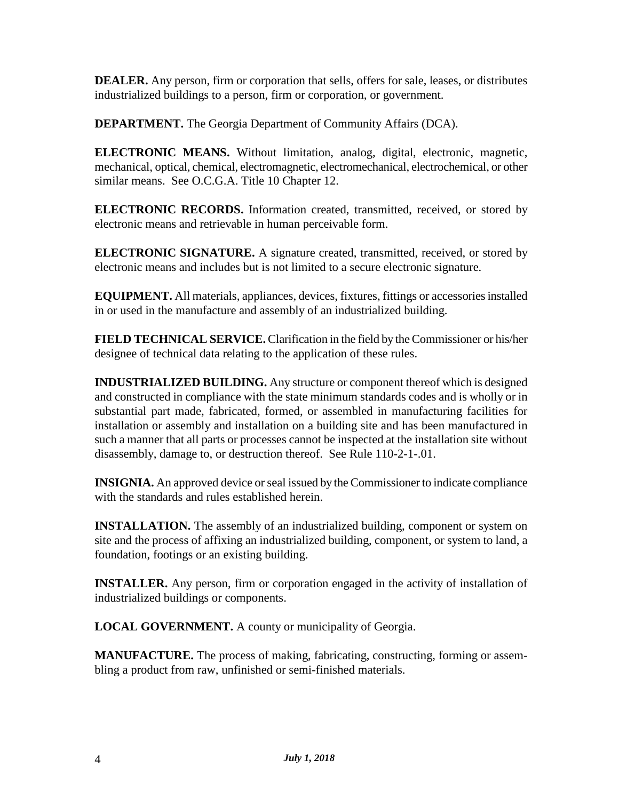**DEALER.** Any person, firm or corporation that sells, offers for sale, leases, or distributes industrialized buildings to a person, firm or corporation, or government.

**DEPARTMENT.** The Georgia Department of Community Affairs (DCA).

**ELECTRONIC MEANS.** Without limitation, analog, digital, electronic, magnetic, mechanical, optical, chemical, electromagnetic, electromechanical, electrochemical, or other similar means. See O.C.G.A. Title 10 Chapter 12.

**ELECTRONIC RECORDS.** Information created, transmitted, received, or stored by electronic means and retrievable in human perceivable form.

**ELECTRONIC SIGNATURE.** A signature created, transmitted, received, or stored by electronic means and includes but is not limited to a secure electronic signature.

**EQUIPMENT.** All materials, appliances, devices, fixtures, fittings or accessories installed in or used in the manufacture and assembly of an industrialized building.

**FIELD TECHNICAL SERVICE.** Clarification in the field by the Commissioner or his/her designee of technical data relating to the application of these rules.

**INDUSTRIALIZED BUILDING.** Any structure or component thereof which is designed and constructed in compliance with the state minimum standards codes and is wholly or in substantial part made, fabricated, formed, or assembled in manufacturing facilities for installation or assembly and installation on a building site and has been manufactured in such a manner that all parts or processes cannot be inspected at the installation site without disassembly, damage to, or destruction thereof. See Rule 110-2-1-.01.

**INSIGNIA.** An approved device or seal issued by the Commissioner to indicate compliance with the standards and rules established herein.

**INSTALLATION.** The assembly of an industrialized building, component or system on site and the process of affixing an industrialized building, component, or system to land, a foundation, footings or an existing building.

**INSTALLER.** Any person, firm or corporation engaged in the activity of installation of industrialized buildings or components.

**LOCAL GOVERNMENT.** A county or municipality of Georgia.

**MANUFACTURE.** The process of making, fabricating, constructing, forming or assembling a product from raw, unfinished or semi-finished materials.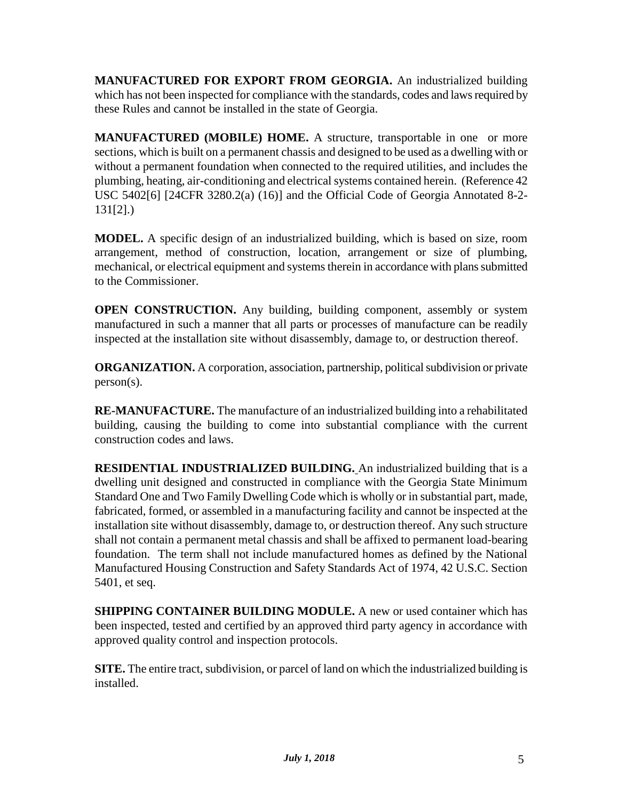**MANUFACTURED FOR EXPORT FROM GEORGIA.** An industrialized building which has not been inspected for compliance with the standards, codes and laws required by these Rules and cannot be installed in the state of Georgia.

**MANUFACTURED (MOBILE) HOME.** A structure, transportable in one or more sections, which is built on a permanent chassis and designed to be used as a dwelling with or without a permanent foundation when connected to the required utilities, and includes the plumbing, heating, air-conditioning and electrical systems contained herein. (Reference 42 USC 5402[6] [24CFR 3280.2(a) (16)] and the Official Code of Georgia Annotated 8-2- 131[2].)

**MODEL.** A specific design of an industrialized building, which is based on size, room arrangement, method of construction, location, arrangement or size of plumbing, mechanical, or electrical equipment and systems therein in accordance with plans submitted to the Commissioner.

**OPEN CONSTRUCTION.** Any building, building component, assembly or system manufactured in such a manner that all parts or processes of manufacture can be readily inspected at the installation site without disassembly, damage to, or destruction thereof.

**ORGANIZATION.** A corporation, association, partnership, political subdivision or private person(s).

**RE-MANUFACTURE.** The manufacture of an industrialized building into a rehabilitated building, causing the building to come into substantial compliance with the current construction codes and laws.

**RESIDENTIAL INDUSTRIALIZED BUILDING.** An industrialized building that is a dwelling unit designed and constructed in compliance with the Georgia State Minimum Standard One and Two Family Dwelling Code which is wholly or in substantial part, made, fabricated, formed, or assembled in a manufacturing facility and cannot be inspected at the installation site without disassembly, damage to, or destruction thereof. Any such structure shall not contain a permanent metal chassis and shall be affixed to permanent load-bearing foundation. The term shall not include manufactured homes as defined by the National Manufactured Housing Construction and Safety Standards Act of 1974, 42 U.S.C. Section 5401, et seq.

**SHIPPING CONTAINER BUILDING MODULE.** A new or used container which has been inspected, tested and certified by an approved third party agency in accordance with approved quality control and inspection protocols.

**SITE.** The entire tract, subdivision, or parcel of land on which the industrialized building is installed.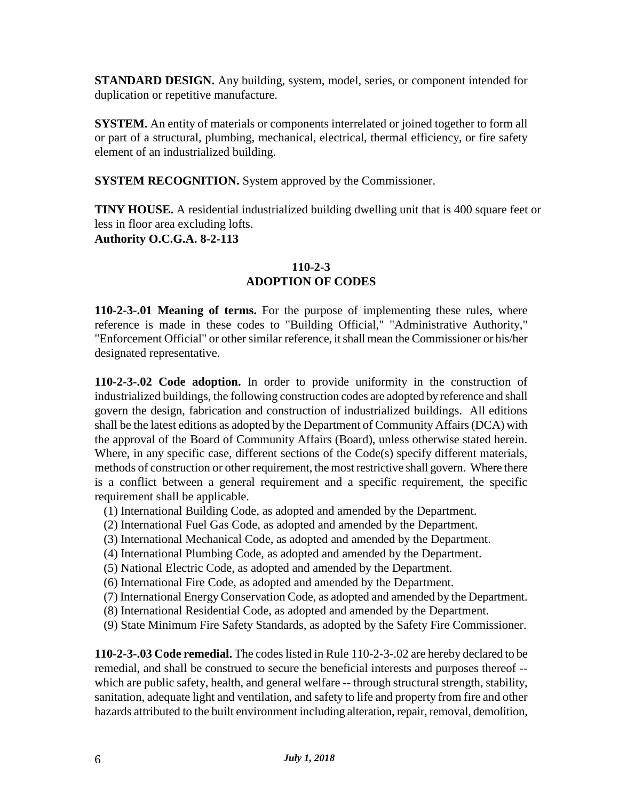**STANDARD DESIGN.** Any building, system, model, series, or component intended for duplication or repetitive manufacture.

**SYSTEM.** An entity of materials or components interrelated or joined together to form all or part of a structural, plumbing, mechanical, electrical, thermal efficiency, or fire safety element of an industrialized building.

**SYSTEM RECOGNITION.** System approved by the Commissioner.

**TINY HOUSE.** A residential industrialized building dwelling unit that is 400 square feet or less in floor area excluding lofts. **Authority O.C.G.A. 8-2-113**

#### **110-2-3 ADOPTION OF CODES**

**110-2-3-.01 Meaning of terms.** For the purpose of implementing these rules, where reference is made in these codes to "Building Official," "Administrative Authority," "Enforcement Official" or other similar reference, it shall mean the Commissioner or his/her designated representative.

**110-2-3-.02 Code adoption.** In order to provide uniformity in the construction of industrialized buildings, the following construction codes are adopted by reference and shall govern the design, fabrication and construction of industrialized buildings. All editions shall be the latest editions as adopted by the Department of Community Affairs (DCA) with the approval of the Board of Community Affairs (Board), unless otherwise stated herein. Where, in any specific case, different sections of the Code(s) specify different materials, methods of construction or other requirement, the most restrictive shall govern. Where there is a conflict between a general requirement and a specific requirement, the specific requirement shall be applicable.

- (1) International Building Code, as adopted and amended by the Department.
- (2) International Fuel Gas Code, as adopted and amended by the Department.
- (3) International Mechanical Code, as adopted and amended by the Department.
- (4) International Plumbing Code, as adopted and amended by the Department.
- (5) National Electric Code, as adopted and amended by the Department.
- (6) International Fire Code, as adopted and amended by the Department.
- (7) International Energy Conservation Code, as adopted and amended by the Department.
- (8) International Residential Code, as adopted and amended by the Department.
- (9) State Minimum Fire Safety Standards, as adopted by the Safety Fire Commissioner.

**110-2-3-.03 Code remedial.** The codes listed in Rule 110-2-3-.02 are hereby declared to be remedial, and shall be construed to secure the beneficial interests and purposes thereof - which are public safety, health, and general welfare -- through structural strength, stability, sanitation, adequate light and ventilation, and safety to life and property from fire and other hazards attributed to the built environment including alteration, repair, removal, demolition,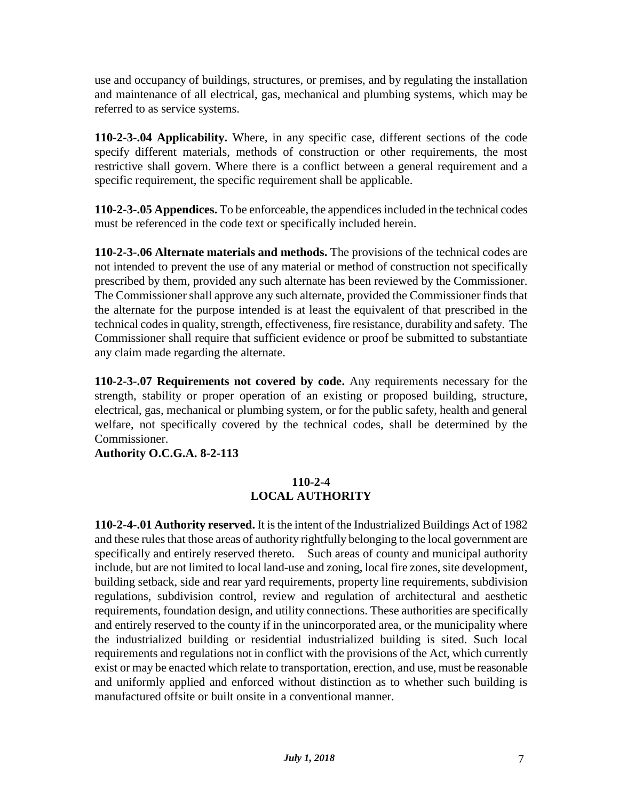use and occupancy of buildings, structures, or premises, and by regulating the installation and maintenance of all electrical, gas, mechanical and plumbing systems, which may be referred to as service systems.

**110-2-3-.04 Applicability.** Where, in any specific case, different sections of the code specify different materials, methods of construction or other requirements, the most restrictive shall govern. Where there is a conflict between a general requirement and a specific requirement, the specific requirement shall be applicable.

**110-2-3-.05 Appendices.** To be enforceable, the appendices included in the technical codes must be referenced in the code text or specifically included herein.

**110-2-3-.06 Alternate materials and methods.** The provisions of the technical codes are not intended to prevent the use of any material or method of construction not specifically prescribed by them, provided any such alternate has been reviewed by the Commissioner. The Commissioner shall approve any such alternate, provided the Commissioner finds that the alternate for the purpose intended is at least the equivalent of that prescribed in the technical codes in quality, strength, effectiveness, fire resistance, durability and safety. The Commissioner shall require that sufficient evidence or proof be submitted to substantiate any claim made regarding the alternate.

**110-2-3-.07 Requirements not covered by code.** Any requirements necessary for the strength, stability or proper operation of an existing or proposed building, structure, electrical, gas, mechanical or plumbing system, or for the public safety, health and general welfare, not specifically covered by the technical codes, shall be determined by the Commissioner.

**Authority O.C.G.A. 8-2-113**

#### **110-2-4 LOCAL AUTHORITY**

**110-2-4-.01 Authority reserved.** It is the intent of the Industrialized Buildings Act of 1982 and these rules that those areas of authority rightfully belonging to the local government are specifically and entirely reserved thereto. Such areas of county and municipal authority include, but are not limited to local land-use and zoning, local fire zones, site development, building setback, side and rear yard requirements, property line requirements, subdivision regulations, subdivision control, review and regulation of architectural and aesthetic requirements, foundation design, and utility connections. These authorities are specifically and entirely reserved to the county if in the unincorporated area, or the municipality where the industrialized building or residential industrialized building is sited. Such local requirements and regulations not in conflict with the provisions of the Act, which currently exist or may be enacted which relate to transportation, erection, and use, must be reasonable and uniformly applied and enforced without distinction as to whether such building is manufactured offsite or built onsite in a conventional manner.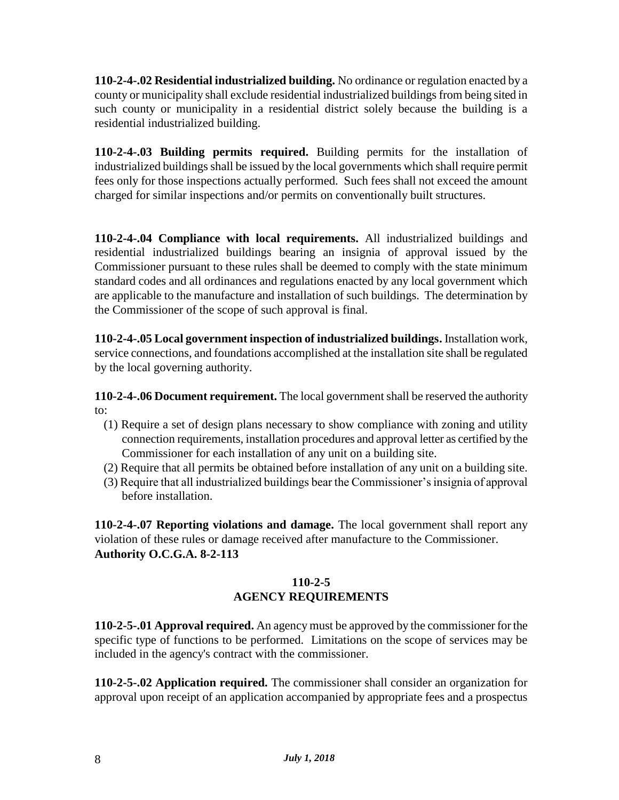**110-2-4-.02 Residential industrialized building.** No ordinance or regulation enacted by a county or municipality shall exclude residential industrialized buildings from being sited in such county or municipality in a residential district solely because the building is a residential industrialized building.

**110-2-4-.03 Building permits required.** Building permits for the installation of industrialized buildings shall be issued by the local governments which shall require permit fees only for those inspections actually performed. Such fees shall not exceed the amount charged for similar inspections and/or permits on conventionally built structures.

**110-2-4-.04 Compliance with local requirements.** All industrialized buildings and residential industrialized buildings bearing an insignia of approval issued by the Commissioner pursuant to these rules shall be deemed to comply with the state minimum standard codes and all ordinances and regulations enacted by any local government which are applicable to the manufacture and installation of such buildings. The determination by the Commissioner of the scope of such approval is final.

**110-2-4-.05 Local government inspection of industrialized buildings.** Installation work, service connections, and foundations accomplished at the installation site shall be regulated by the local governing authority.

**110-2-4-.06 Document requirement.** The local government shall be reserved the authority to:

- (1) Require a set of design plans necessary to show compliance with zoning and utility connection requirements, installation procedures and approval letter as certified by the Commissioner for each installation of any unit on a building site.
- (2) Require that all permits be obtained before installation of any unit on a building site.
- (3) Require that all industrialized buildings bear the Commissioner's insignia of approval before installation.

**110-2-4-.07 Reporting violations and damage.** The local government shall report any violation of these rules or damage received after manufacture to the Commissioner. **Authority O.C.G.A. 8-2-113**

#### **110-2-5 AGENCY REQUIREMENTS**

**110-2-5-.01 Approval required.** An agency must be approved by the commissioner for the specific type of functions to be performed. Limitations on the scope of services may be included in the agency's contract with the commissioner.

**110-2-5-.02 Application required.** The commissioner shall consider an organization for approval upon receipt of an application accompanied by appropriate fees and a prospectus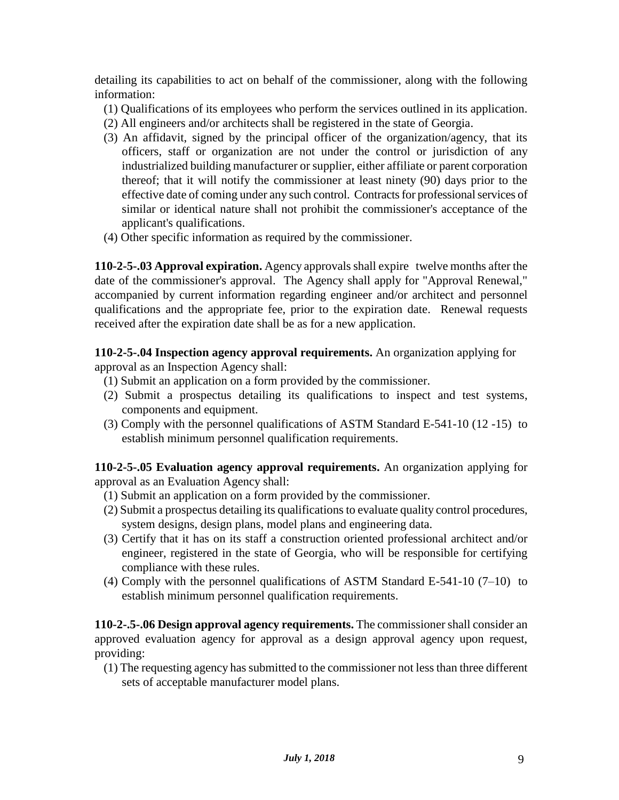detailing its capabilities to act on behalf of the commissioner, along with the following information:

- (1) Qualifications of its employees who perform the services outlined in its application.
- (2) All engineers and/or architects shall be registered in the state of Georgia.
- (3) An affidavit, signed by the principal officer of the organization/agency, that its officers, staff or organization are not under the control or jurisdiction of any industrialized building manufacturer or supplier, either affiliate or parent corporation thereof; that it will notify the commissioner at least ninety (90) days prior to the effective date of coming under any such control. Contracts for professional services of similar or identical nature shall not prohibit the commissioner's acceptance of the applicant's qualifications.
- (4) Other specific information as required by the commissioner.

**110-2-5-.03 Approval expiration.** Agency approvals shall expire twelve months after the date of the commissioner's approval. The Agency shall apply for "Approval Renewal," accompanied by current information regarding engineer and/or architect and personnel qualifications and the appropriate fee, prior to the expiration date. Renewal requests received after the expiration date shall be as for a new application.

**110-2-5-.04 Inspection agency approval requirements.** An organization applying for approval as an Inspection Agency shall:

- (1) Submit an application on a form provided by the commissioner.
- (2) Submit a prospectus detailing its qualifications to inspect and test systems, components and equipment.
- (3) Comply with the personnel qualifications of ASTM Standard E-541-10 (12 -15) to establish minimum personnel qualification requirements.

**110-2-5-.05 Evaluation agency approval requirements.** An organization applying for approval as an Evaluation Agency shall:

- (1) Submit an application on a form provided by the commissioner.
- (2) Submit a prospectus detailing its qualifications to evaluate quality control procedures, system designs, design plans, model plans and engineering data.
- (3) Certify that it has on its staff a construction oriented professional architect and/or engineer, registered in the state of Georgia, who will be responsible for certifying compliance with these rules.
- (4) Comply with the personnel qualifications of ASTM Standard E-541-10 (7–10) to establish minimum personnel qualification requirements.

**110-2-.5-.06 Design approval agency requirements.** The commissioner shall consider an approved evaluation agency for approval as a design approval agency upon request, providing:

(1) The requesting agency has submitted to the commissioner not less than three different sets of acceptable manufacturer model plans.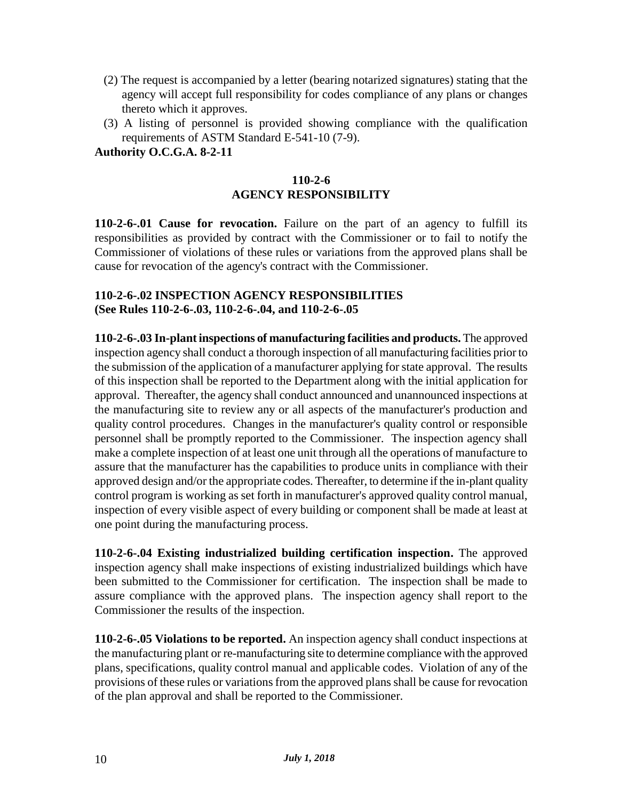- (2) The request is accompanied by a letter (bearing notarized signatures) stating that the agency will accept full responsibility for codes compliance of any plans or changes thereto which it approves.
- (3) A listing of personnel is provided showing compliance with the qualification requirements of ASTM Standard E-541-10 (7-9).

**Authority O.C.G.A. 8-2-11**

#### **110-2-6 AGENCY RESPONSIBILITY**

**110-2-6-.01 Cause for revocation.** Failure on the part of an agency to fulfill its responsibilities as provided by contract with the Commissioner or to fail to notify the Commissioner of violations of these rules or variations from the approved plans shall be cause for revocation of the agency's contract with the Commissioner.

#### **110-2-6-.02 INSPECTION AGENCY RESPONSIBILITIES (See Rules 110-2-6-.03, 110-2-6-.04, and 110-2-6-.05**

**110-2-6-.03 In-plant inspections of manufacturing facilities and products.** The approved inspection agency shall conduct a thorough inspection of all manufacturing facilities prior to the submission of the application of a manufacturer applying for state approval. The results of this inspection shall be reported to the Department along with the initial application for approval. Thereafter, the agency shall conduct announced and unannounced inspections at the manufacturing site to review any or all aspects of the manufacturer's production and quality control procedures. Changes in the manufacturer's quality control or responsible personnel shall be promptly reported to the Commissioner. The inspection agency shall make a complete inspection of at least one unit through all the operations of manufacture to assure that the manufacturer has the capabilities to produce units in compliance with their approved design and/or the appropriate codes. Thereafter, to determine if the in-plant quality control program is working as set forth in manufacturer's approved quality control manual, inspection of every visible aspect of every building or component shall be made at least at one point during the manufacturing process.

**110-2-6-.04 Existing industrialized building certification inspection.** The approved inspection agency shall make inspections of existing industrialized buildings which have been submitted to the Commissioner for certification. The inspection shall be made to assure compliance with the approved plans. The inspection agency shall report to the Commissioner the results of the inspection.

**110-2-6-.05 Violations to be reported.** An inspection agency shall conduct inspections at the manufacturing plant or re-manufacturing site to determine compliance with the approved plans, specifications, quality control manual and applicable codes. Violation of any of the provisions of these rules or variations from the approved plans shall be cause for revocation of the plan approval and shall be reported to the Commissioner.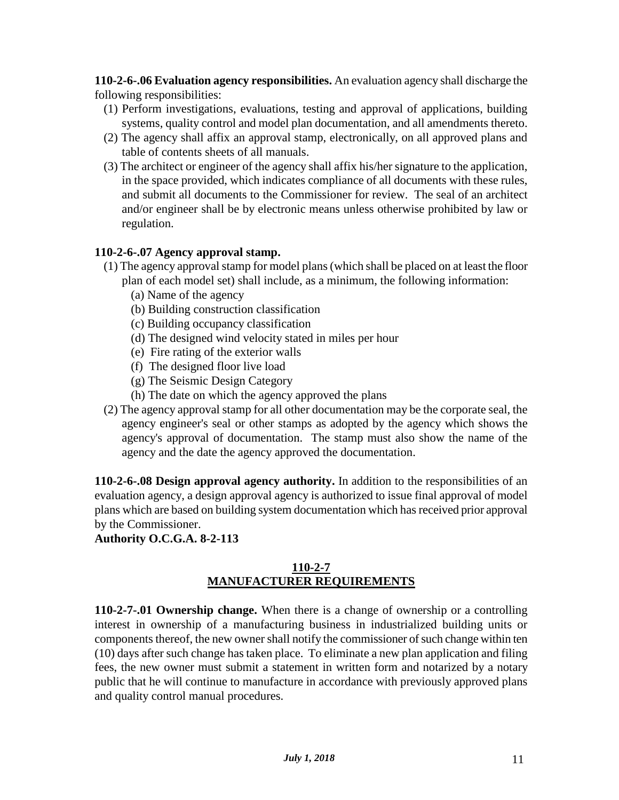**110-2-6-.06 Evaluation agency responsibilities.** An evaluation agency shall discharge the following responsibilities:

- (1) Perform investigations, evaluations, testing and approval of applications, building systems, quality control and model plan documentation, and all amendments thereto.
- (2) The agency shall affix an approval stamp, electronically, on all approved plans and table of contents sheets of all manuals.
- (3) The architect or engineer of the agency shall affix his/her signature to the application, in the space provided, which indicates compliance of all documents with these rules, and submit all documents to the Commissioner for review. The seal of an architect and/or engineer shall be by electronic means unless otherwise prohibited by law or regulation.

#### **110-2-6-.07 Agency approval stamp.**

- (1) The agency approval stamp for model plans (which shall be placed on at least the floor plan of each model set) shall include, as a minimum, the following information:
	- (a) Name of the agency
	- (b) Building construction classification
	- (c) Building occupancy classification
	- (d) The designed wind velocity stated in miles per hour
	- (e) Fire rating of the exterior walls
	- (f) The designed floor live load
	- (g) The Seismic Design Category
	- (h) The date on which the agency approved the plans
- (2) The agency approval stamp for all other documentation may be the corporate seal, the agency engineer's seal or other stamps as adopted by the agency which shows the agency's approval of documentation. The stamp must also show the name of the agency and the date the agency approved the documentation.

**110-2-6-.08 Design approval agency authority.** In addition to the responsibilities of an evaluation agency, a design approval agency is authorized to issue final approval of model plans which are based on building system documentation which has received prior approval by the Commissioner.

# **Authority O.C.G.A. 8-2-113**

#### **110-2-7 MANUFACTURER REQUIREMENTS**

**110-2-7-.01 Ownership change.** When there is a change of ownership or a controlling interest in ownership of a manufacturing business in industrialized building units or components thereof, the new owner shall notify the commissioner of such change within ten (10) days after such change has taken place. To eliminate a new plan application and filing fees, the new owner must submit a statement in written form and notarized by a notary public that he will continue to manufacture in accordance with previously approved plans and quality control manual procedures.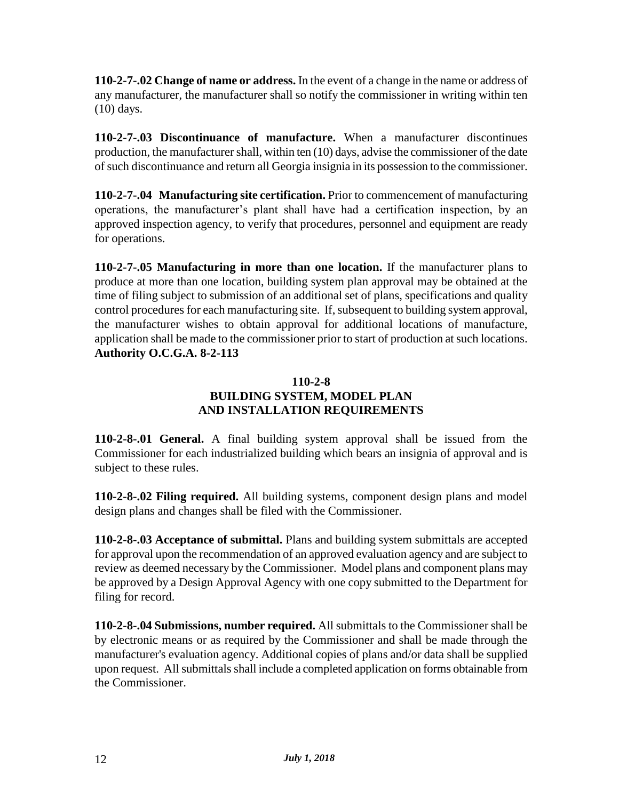**110-2-7-.02 Change of name or address.** In the event of a change in the name or address of any manufacturer, the manufacturer shall so notify the commissioner in writing within ten (10) days.

**110-2-7-.03 Discontinuance of manufacture.** When a manufacturer discontinues production, the manufacturer shall, within ten (10) days, advise the commissioner of the date of such discontinuance and return all Georgia insignia in its possession to the commissioner.

**110-2-7-.04 Manufacturing site certification.** Prior to commencement of manufacturing operations, the manufacturer's plant shall have had a certification inspection, by an approved inspection agency, to verify that procedures, personnel and equipment are ready for operations.

**110-2-7-.05 Manufacturing in more than one location.** If the manufacturer plans to produce at more than one location, building system plan approval may be obtained at the time of filing subject to submission of an additional set of plans, specifications and quality control procedures for each manufacturing site. If, subsequent to building system approval, the manufacturer wishes to obtain approval for additional locations of manufacture, application shall be made to the commissioner prior to start of production at such locations. **Authority O.C.G.A. 8-2-113**

# **110-2-8 BUILDING SYSTEM, MODEL PLAN AND INSTALLATION REQUIREMENTS**

**110-2-8-.01 General.** A final building system approval shall be issued from the Commissioner for each industrialized building which bears an insignia of approval and is subject to these rules.

**110-2-8-.02 Filing required.** All building systems, component design plans and model design plans and changes shall be filed with the Commissioner.

**110-2-8-.03 Acceptance of submittal.** Plans and building system submittals are accepted for approval upon the recommendation of an approved evaluation agency and are subject to review as deemed necessary by the Commissioner. Model plans and component plans may be approved by a Design Approval Agency with one copy submitted to the Department for filing for record.

**110-2-8-.04 Submissions, number required.** All submittals to the Commissioner shall be by electronic means or as required by the Commissioner and shall be made through the manufacturer's evaluation agency. Additional copies of plans and/or data shall be supplied upon request. All submittals shall include a completed application on forms obtainable from the Commissioner.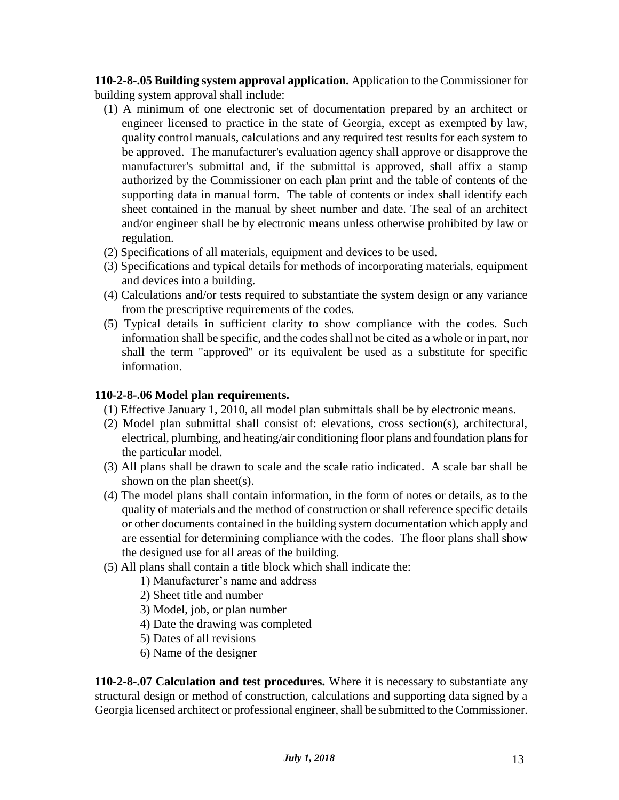**110-2-8-.05 Building system approval application.** Application to the Commissioner for building system approval shall include:

- (1) A minimum of one electronic set of documentation prepared by an architect or engineer licensed to practice in the state of Georgia, except as exempted by law, quality control manuals, calculations and any required test results for each system to be approved. The manufacturer's evaluation agency shall approve or disapprove the manufacturer's submittal and, if the submittal is approved, shall affix a stamp authorized by the Commissioner on each plan print and the table of contents of the supporting data in manual form. The table of contents or index shall identify each sheet contained in the manual by sheet number and date. The seal of an architect and/or engineer shall be by electronic means unless otherwise prohibited by law or regulation.
- (2) Specifications of all materials, equipment and devices to be used.
- (3) Specifications and typical details for methods of incorporating materials, equipment and devices into a building.
- (4) Calculations and/or tests required to substantiate the system design or any variance from the prescriptive requirements of the codes.
- (5) Typical details in sufficient clarity to show compliance with the codes. Such information shall be specific, and the codes shall not be cited as a whole or in part, nor shall the term "approved" or its equivalent be used as a substitute for specific information.

#### **110-2-8-.06 Model plan requirements.**

- (1) Effective January 1, 2010, all model plan submittals shall be by electronic means.
- (2) Model plan submittal shall consist of: elevations, cross section(s), architectural, electrical, plumbing, and heating/air conditioning floor plans and foundation plans for the particular model.
- (3) All plans shall be drawn to scale and the scale ratio indicated. A scale bar shall be shown on the plan sheet(s).
- (4) The model plans shall contain information, in the form of notes or details, as to the quality of materials and the method of construction or shall reference specific details or other documents contained in the building system documentation which apply and are essential for determining compliance with the codes. The floor plans shall show the designed use for all areas of the building.
- (5) All plans shall contain a title block which shall indicate the:
	- 1) Manufacturer's name and address
	- 2) Sheet title and number
	- 3) Model, job, or plan number
	- 4) Date the drawing was completed
	- 5) Dates of all revisions
	- 6) Name of the designer

**110-2-8-.07 Calculation and test procedures.** Where it is necessary to substantiate any structural design or method of construction, calculations and supporting data signed by a Georgia licensed architect or professional engineer, shall be submitted to the Commissioner.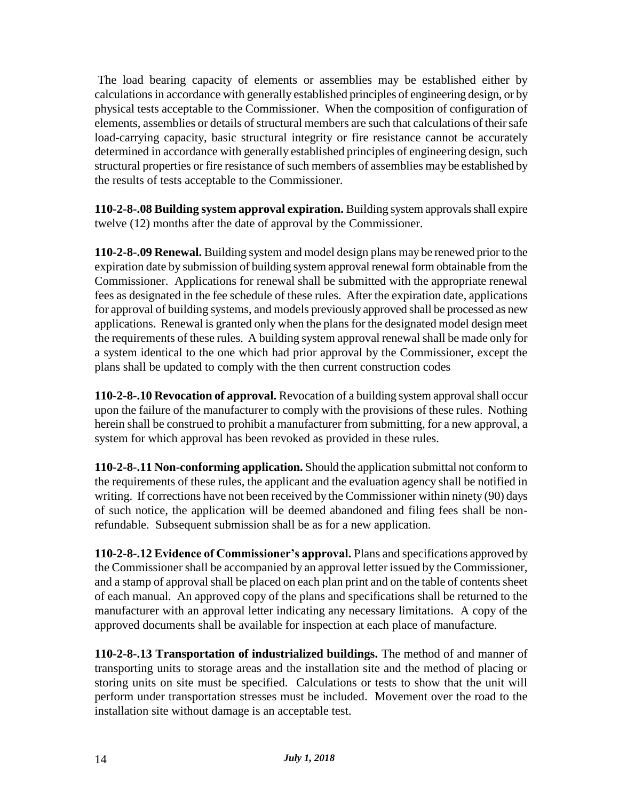The load bearing capacity of elements or assemblies may be established either by calculations in accordance with generally established principles of engineering design, or by physical tests acceptable to the Commissioner. When the composition of configuration of elements, assemblies or details of structural members are such that calculations of their safe load-carrying capacity, basic structural integrity or fire resistance cannot be accurately determined in accordance with generally established principles of engineering design, such structural properties or fire resistance of such members of assemblies may be established by the results of tests acceptable to the Commissioner.

**110-2-8-.08 Building system approval expiration.** Building system approvals shall expire twelve (12) months after the date of approval by the Commissioner.

**110-2-8-.09 Renewal.** Building system and model design plans may be renewed prior to the expiration date by submission of building system approval renewal form obtainable from the Commissioner. Applications for renewal shall be submitted with the appropriate renewal fees as designated in the fee schedule of these rules. After the expiration date, applications for approval of building systems, and models previously approved shall be processed as new applications. Renewal is granted only when the plans for the designated model design meet the requirements of these rules. A building system approval renewal shall be made only for a system identical to the one which had prior approval by the Commissioner, except the plans shall be updated to comply with the then current construction codes

**110-2-8-.10 Revocation of approval.** Revocation of a building system approval shall occur upon the failure of the manufacturer to comply with the provisions of these rules. Nothing herein shall be construed to prohibit a manufacturer from submitting, for a new approval, a system for which approval has been revoked as provided in these rules.

**110-2-8-.11 Non-conforming application.** Should the application submittal not conform to the requirements of these rules, the applicant and the evaluation agency shall be notified in writing. If corrections have not been received by the Commissioner within ninety (90) days of such notice, the application will be deemed abandoned and filing fees shall be nonrefundable. Subsequent submission shall be as for a new application.

**110-2-8-.12 Evidence of Commissioner's approval.** Plans and specifications approved by the Commissioner shall be accompanied by an approval letter issued by the Commissioner, and a stamp of approval shall be placed on each plan print and on the table of contents sheet of each manual. An approved copy of the plans and specifications shall be returned to the manufacturer with an approval letter indicating any necessary limitations. A copy of the approved documents shall be available for inspection at each place of manufacture.

**110-2-8-.13 Transportation of industrialized buildings.** The method of and manner of transporting units to storage areas and the installation site and the method of placing or storing units on site must be specified. Calculations or tests to show that the unit will perform under transportation stresses must be included. Movement over the road to the installation site without damage is an acceptable test.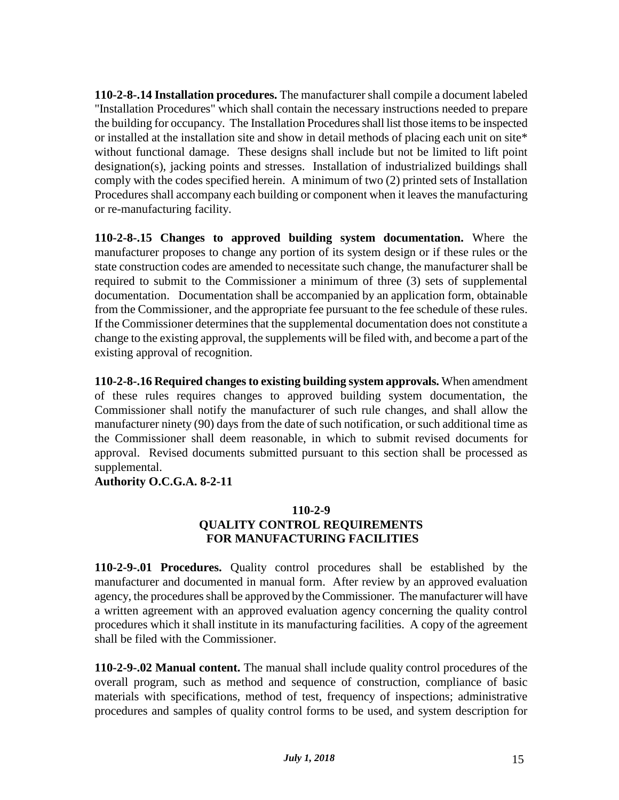**110-2-8-.14 Installation procedures.** The manufacturer shall compile a document labeled "Installation Procedures" which shall contain the necessary instructions needed to prepare the building for occupancy. The Installation Procedures shall list those items to be inspected or installed at the installation site and show in detail methods of placing each unit on site\* without functional damage. These designs shall include but not be limited to lift point designation(s), jacking points and stresses. Installation of industrialized buildings shall comply with the codes specified herein. A minimum of two (2) printed sets of Installation Procedures shall accompany each building or component when it leaves the manufacturing or re-manufacturing facility.

**110-2-8-.15 Changes to approved building system documentation.** Where the manufacturer proposes to change any portion of its system design or if these rules or the state construction codes are amended to necessitate such change, the manufacturer shall be required to submit to the Commissioner a minimum of three (3) sets of supplemental documentation. Documentation shall be accompanied by an application form, obtainable from the Commissioner, and the appropriate fee pursuant to the fee schedule of these rules. If the Commissioner determines that the supplemental documentation does not constitute a change to the existing approval, the supplements will be filed with, and become a part of the existing approval of recognition.

**110-2-8-.16 Required changes to existing building system approvals.** When amendment of these rules requires changes to approved building system documentation, the Commissioner shall notify the manufacturer of such rule changes, and shall allow the manufacturer ninety (90) days from the date of such notification, or such additional time as the Commissioner shall deem reasonable, in which to submit revised documents for approval. Revised documents submitted pursuant to this section shall be processed as supplemental.

**Authority O.C.G.A. 8-2-11**

#### **110-2-9**

# **QUALITY CONTROL REQUIREMENTS FOR MANUFACTURING FACILITIES**

**110-2-9-.01 Procedures.** Quality control procedures shall be established by the manufacturer and documented in manual form. After review by an approved evaluation agency, the procedures shall be approved by the Commissioner. The manufacturer will have a written agreement with an approved evaluation agency concerning the quality control procedures which it shall institute in its manufacturing facilities. A copy of the agreement shall be filed with the Commissioner.

**110-2-9-.02 Manual content.** The manual shall include quality control procedures of the overall program, such as method and sequence of construction, compliance of basic materials with specifications, method of test, frequency of inspections; administrative procedures and samples of quality control forms to be used, and system description for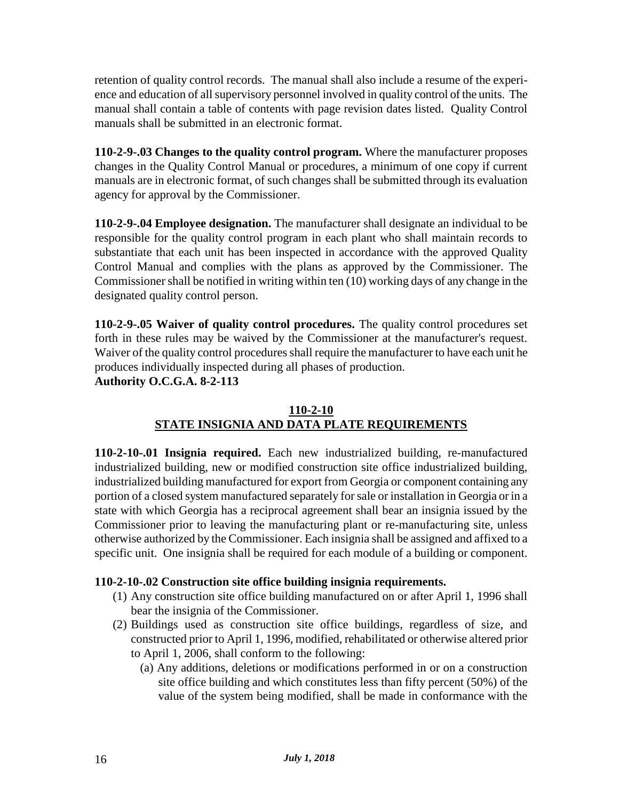retention of quality control records. The manual shall also include a resume of the experience and education of all supervisory personnel involved in quality control of the units. The manual shall contain a table of contents with page revision dates listed. Quality Control manuals shall be submitted in an electronic format.

**110-2-9-.03 Changes to the quality control program.** Where the manufacturer proposes changes in the Quality Control Manual or procedures, a minimum of one copy if current manuals are in electronic format, of such changes shall be submitted through its evaluation agency for approval by the Commissioner.

**110-2-9-.04 Employee designation.** The manufacturer shall designate an individual to be responsible for the quality control program in each plant who shall maintain records to substantiate that each unit has been inspected in accordance with the approved Quality Control Manual and complies with the plans as approved by the Commissioner. The Commissioner shall be notified in writing within ten (10) working days of any change in the designated quality control person.

**110-2-9-.05 Waiver of quality control procedures.** The quality control procedures set forth in these rules may be waived by the Commissioner at the manufacturer's request. Waiver of the quality control procedures shall require the manufacturer to have each unit he produces individually inspected during all phases of production.

**Authority O.C.G.A. 8-2-113**

# **110-2-10 STATE INSIGNIA AND DATA PLATE REQUIREMENTS**

**110-2-10-.01 Insignia required.** Each new industrialized building, re-manufactured industrialized building, new or modified construction site office industrialized building, industrialized building manufactured for export from Georgia or component containing any portion of a closed system manufactured separately for sale or installation in Georgia or in a state with which Georgia has a reciprocal agreement shall bear an insignia issued by the Commissioner prior to leaving the manufacturing plant or re-manufacturing site, unless otherwise authorized by the Commissioner. Each insignia shall be assigned and affixed to a specific unit. One insignia shall be required for each module of a building or component.

#### **110-2-10-.02 Construction site office building insignia requirements.**

- (1) Any construction site office building manufactured on or after April 1, 1996 shall bear the insignia of the Commissioner.
- (2) Buildings used as construction site office buildings, regardless of size, and constructed prior to April 1, 1996, modified, rehabilitated or otherwise altered prior to April 1, 2006, shall conform to the following:
	- (a) Any additions, deletions or modifications performed in or on a construction site office building and which constitutes less than fifty percent (50%) of the value of the system being modified, shall be made in conformance with the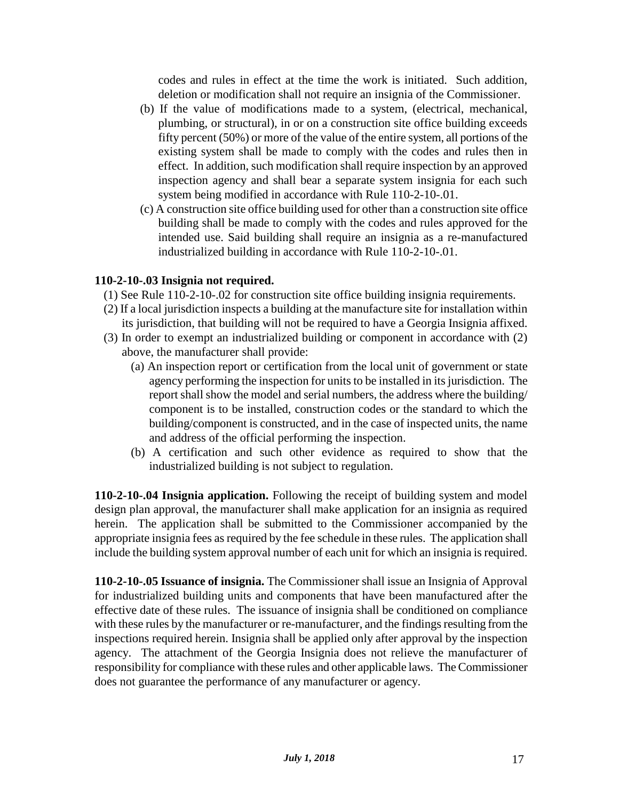codes and rules in effect at the time the work is initiated. Such addition, deletion or modification shall not require an insignia of the Commissioner.

- (b) If the value of modifications made to a system, (electrical, mechanical, plumbing, or structural), in or on a construction site office building exceeds fifty percent (50%) or more of the value of the entire system, all portions of the existing system shall be made to comply with the codes and rules then in effect. In addition, such modification shall require inspection by an approved inspection agency and shall bear a separate system insignia for each such system being modified in accordance with Rule 110-2-10-.01.
- (c) A construction site office building used for other than a construction site office building shall be made to comply with the codes and rules approved for the intended use. Said building shall require an insignia as a re-manufactured industrialized building in accordance with Rule 110-2-10-.01.

#### **110-2-10-.03 Insignia not required.**

- (1) See Rule 110-2-10-.02 for construction site office building insignia requirements.
- (2) If a local jurisdiction inspects a building at the manufacture site for installation within its jurisdiction, that building will not be required to have a Georgia Insignia affixed.
- (3) In order to exempt an industrialized building or component in accordance with (2) above, the manufacturer shall provide:
	- (a) An inspection report or certification from the local unit of government or state agency performing the inspection for units to be installed in its jurisdiction. The report shall show the model and serial numbers, the address where the building/ component is to be installed, construction codes or the standard to which the building/component is constructed, and in the case of inspected units, the name and address of the official performing the inspection.
	- (b) A certification and such other evidence as required to show that the industrialized building is not subject to regulation.

**110-2-10-.04 Insignia application.** Following the receipt of building system and model design plan approval, the manufacturer shall make application for an insignia as required herein. The application shall be submitted to the Commissioner accompanied by the appropriate insignia fees as required by the fee schedule in these rules. The application shall include the building system approval number of each unit for which an insignia is required.

**110-2-10-.05 Issuance of insignia.** The Commissioner shall issue an Insignia of Approval for industrialized building units and components that have been manufactured after the effective date of these rules. The issuance of insignia shall be conditioned on compliance with these rules by the manufacturer or re-manufacturer, and the findings resulting from the inspections required herein. Insignia shall be applied only after approval by the inspection agency. The attachment of the Georgia Insignia does not relieve the manufacturer of responsibility for compliance with these rules and other applicable laws. The Commissioner does not guarantee the performance of any manufacturer or agency.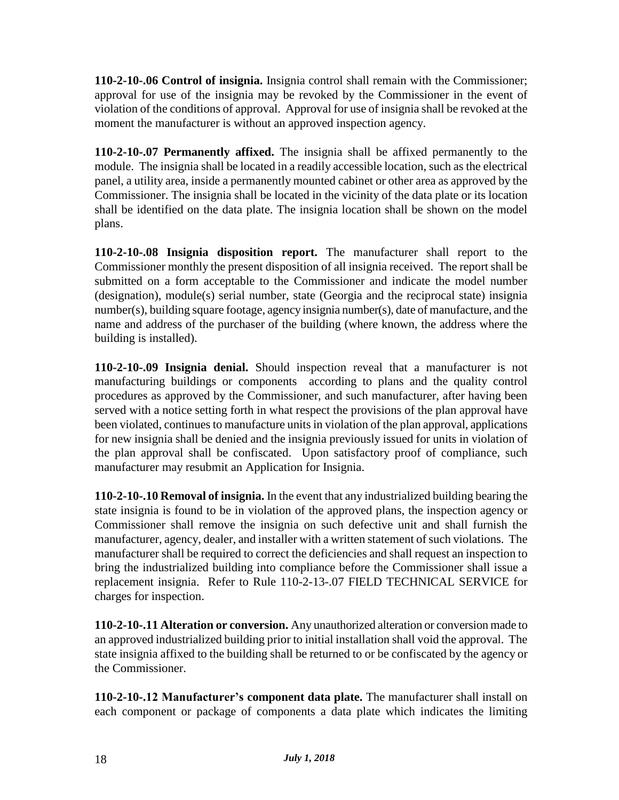**110-2-10-.06 Control of insignia.** Insignia control shall remain with the Commissioner; approval for use of the insignia may be revoked by the Commissioner in the event of violation of the conditions of approval. Approval for use of insignia shall be revoked at the moment the manufacturer is without an approved inspection agency.

**110-2-10-.07 Permanently affixed.** The insignia shall be affixed permanently to the module. The insignia shall be located in a readily accessible location, such as the electrical panel, a utility area, inside a permanently mounted cabinet or other area as approved by the Commissioner. The insignia shall be located in the vicinity of the data plate or its location shall be identified on the data plate. The insignia location shall be shown on the model plans.

**110-2-10-.08 Insignia disposition report.** The manufacturer shall report to the Commissioner monthly the present disposition of all insignia received. The report shall be submitted on a form acceptable to the Commissioner and indicate the model number (designation), module(s) serial number, state (Georgia and the reciprocal state) insignia number(s), building square footage, agency insignia number(s), date of manufacture, and the name and address of the purchaser of the building (where known, the address where the building is installed).

**110-2-10-.09 Insignia denial.** Should inspection reveal that a manufacturer is not manufacturing buildings or components according to plans and the quality control procedures as approved by the Commissioner, and such manufacturer, after having been served with a notice setting forth in what respect the provisions of the plan approval have been violated, continues to manufacture units in violation of the plan approval, applications for new insignia shall be denied and the insignia previously issued for units in violation of the plan approval shall be confiscated. Upon satisfactory proof of compliance, such manufacturer may resubmit an Application for Insignia.

**110-2-10-.10 Removal of insignia.** In the event that any industrialized building bearing the state insignia is found to be in violation of the approved plans, the inspection agency or Commissioner shall remove the insignia on such defective unit and shall furnish the manufacturer, agency, dealer, and installer with a written statement of such violations. The manufacturer shall be required to correct the deficiencies and shall request an inspection to bring the industrialized building into compliance before the Commissioner shall issue a replacement insignia. Refer to Rule 110-2-13-.07 FIELD TECHNICAL SERVICE for charges for inspection.

**110-2-10-.11 Alteration or conversion.** Any unauthorized alteration or conversion made to an approved industrialized building prior to initial installation shall void the approval. The state insignia affixed to the building shall be returned to or be confiscated by the agency or the Commissioner.

**110-2-10-.12 Manufacturer's component data plate.** The manufacturer shall install on each component or package of components a data plate which indicates the limiting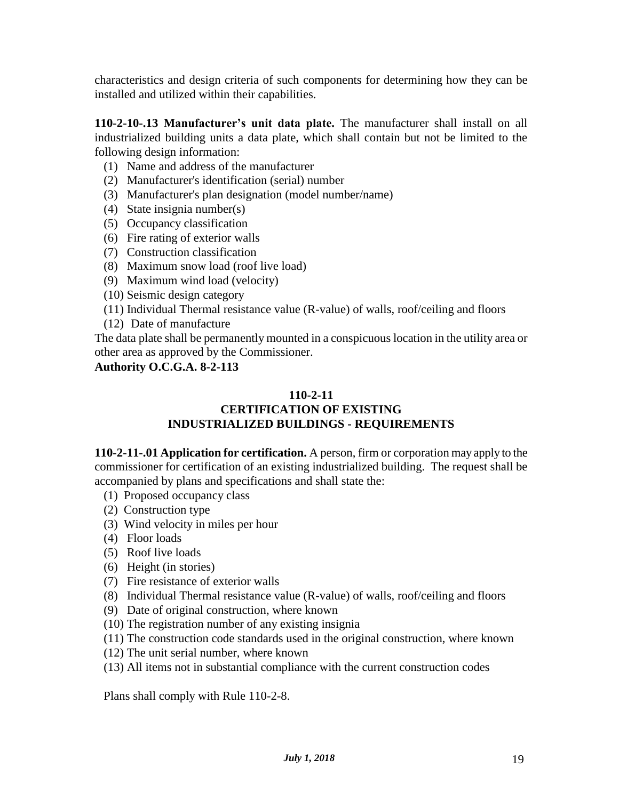characteristics and design criteria of such components for determining how they can be installed and utilized within their capabilities.

**110-2-10-.13 Manufacturer's unit data plate.** The manufacturer shall install on all industrialized building units a data plate, which shall contain but not be limited to the following design information:

- (1) Name and address of the manufacturer
- (2) Manufacturer's identification (serial) number
- (3) Manufacturer's plan designation (model number/name)
- (4) State insignia number(s)
- (5) Occupancy classification
- (6) Fire rating of exterior walls
- (7) Construction classification
- (8) Maximum snow load (roof live load)
- (9) Maximum wind load (velocity)
- (10) Seismic design category
- (11) Individual Thermal resistance value (R-value) of walls, roof/ceiling and floors
- (12) Date of manufacture

The data plate shall be permanently mounted in a conspicuous location in the utility area or other area as approved by the Commissioner.

#### **Authority O.C.G.A. 8-2-113**

#### **110-2-11**

# **CERTIFICATION OF EXISTING INDUSTRIALIZED BUILDINGS - REQUIREMENTS**

**110-2-11-.01 Application for certification.** A person, firm or corporation may apply to the commissioner for certification of an existing industrialized building. The request shall be accompanied by plans and specifications and shall state the:

- (1) Proposed occupancy class
- (2) Construction type
- (3) Wind velocity in miles per hour
- (4) Floor loads
- (5) Roof live loads
- (6) Height (in stories)
- (7) Fire resistance of exterior walls
- (8) Individual Thermal resistance value (R-value) of walls, roof/ceiling and floors
- (9) Date of original construction, where known
- (10) The registration number of any existing insignia
- (11) The construction code standards used in the original construction, where known
- (12) The unit serial number, where known
- (13) All items not in substantial compliance with the current construction codes

Plans shall comply with Rule 110-2-8.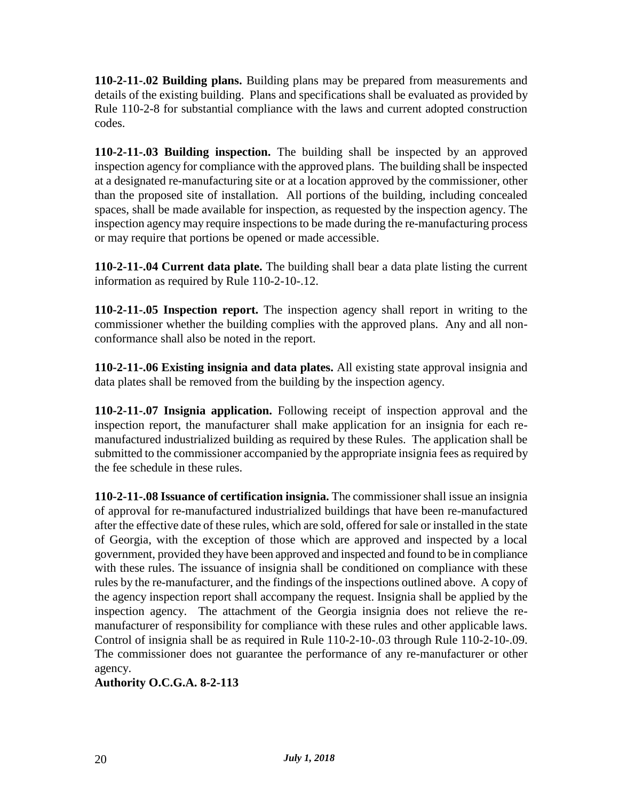**110-2-11-.02 Building plans.** Building plans may be prepared from measurements and details of the existing building. Plans and specifications shall be evaluated as provided by Rule 110-2-8 for substantial compliance with the laws and current adopted construction codes.

**110-2-11-.03 Building inspection.** The building shall be inspected by an approved inspection agency for compliance with the approved plans. The building shall be inspected at a designated re-manufacturing site or at a location approved by the commissioner, other than the proposed site of installation. All portions of the building, including concealed spaces, shall be made available for inspection, as requested by the inspection agency. The inspection agency may require inspections to be made during the re-manufacturing process or may require that portions be opened or made accessible.

**110-2-11-.04 Current data plate.** The building shall bear a data plate listing the current information as required by Rule 110-2-10-.12.

**110-2-11-.05 Inspection report.** The inspection agency shall report in writing to the commissioner whether the building complies with the approved plans. Any and all nonconformance shall also be noted in the report.

**110-2-11-.06 Existing insignia and data plates.** All existing state approval insignia and data plates shall be removed from the building by the inspection agency.

**110-2-11-.07 Insignia application.** Following receipt of inspection approval and the inspection report, the manufacturer shall make application for an insignia for each remanufactured industrialized building as required by these Rules. The application shall be submitted to the commissioner accompanied by the appropriate insignia fees as required by the fee schedule in these rules.

**110-2-11-.08 Issuance of certification insignia.** The commissioner shall issue an insignia of approval for re-manufactured industrialized buildings that have been re-manufactured after the effective date of these rules, which are sold, offered for sale or installed in the state of Georgia, with the exception of those which are approved and inspected by a local government, provided they have been approved and inspected and found to be in compliance with these rules. The issuance of insignia shall be conditioned on compliance with these rules by the re-manufacturer, and the findings of the inspections outlined above. A copy of the agency inspection report shall accompany the request. Insignia shall be applied by the inspection agency. The attachment of the Georgia insignia does not relieve the remanufacturer of responsibility for compliance with these rules and other applicable laws. Control of insignia shall be as required in Rule 110-2-10-.03 through Rule 110-2-10-.09. The commissioner does not guarantee the performance of any re-manufacturer or other agency.

**Authority O.C.G.A. 8-2-113**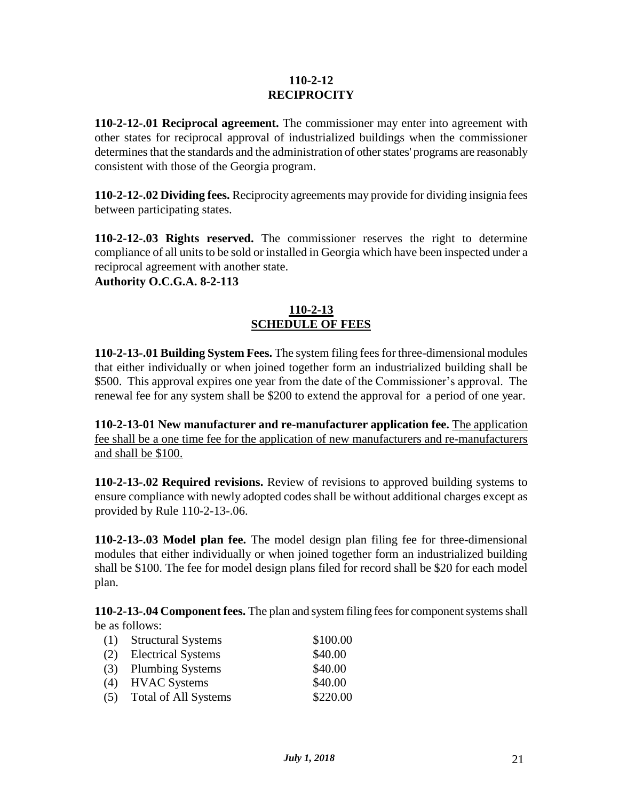#### **110-2-12 RECIPROCITY**

**110-2-12-.01 Reciprocal agreement.** The commissioner may enter into agreement with other states for reciprocal approval of industrialized buildings when the commissioner determines that the standards and the administration of other states' programs are reasonably consistent with those of the Georgia program.

**110-2-12-.02 Dividing fees.** Reciprocity agreements may provide for dividing insignia fees between participating states.

**110-2-12-.03 Rights reserved.** The commissioner reserves the right to determine compliance of all units to be sold or installed in Georgia which have been inspected under a reciprocal agreement with another state.

**Authority O.C.G.A. 8-2-113**

#### **110-2-13 SCHEDULE OF FEES**

**110-2-13-.01 Building System Fees.** The system filing fees for three-dimensional modules that either individually or when joined together form an industrialized building shall be \$500. This approval expires one year from the date of the Commissioner's approval. The renewal fee for any system shall be \$200 to extend the approval for a period of one year.

**110-2-13-01 New manufacturer and re-manufacturer application fee.** The application fee shall be a one time fee for the application of new manufacturers and re-manufacturers and shall be \$100.

**110-2-13-.02 Required revisions.** Review of revisions to approved building systems to ensure compliance with newly adopted codes shall be without additional charges except as provided by Rule 110-2-13-.06.

**110-2-13-.03 Model plan fee.** The model design plan filing fee for three-dimensional modules that either individually or when joined together form an industrialized building shall be \$100. The fee for model design plans filed for record shall be \$20 for each model plan.

**110-2-13-.04 Component fees.** The plan and system filing fees for component systems shall be as follows:

| <b>Structural Systems</b>   | \$100.00                |
|-----------------------------|-------------------------|
| <b>Electrical Systems</b>   | \$40.00                 |
|                             | \$40.00                 |
| <b>HVAC</b> Systems         | \$40.00                 |
| <b>Total of All Systems</b> | \$220.00                |
|                             | <b>Plumbing Systems</b> |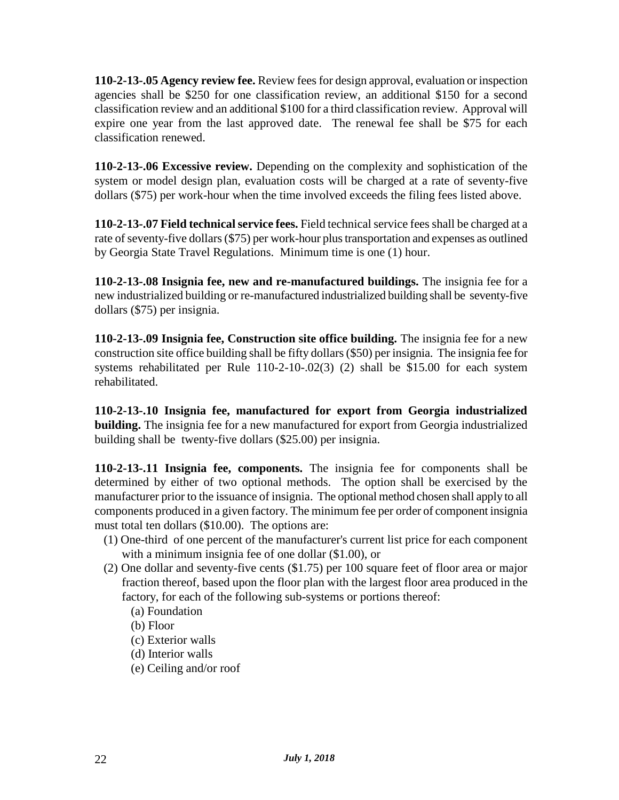**110-2-13-.05 Agency review fee.** Review fees for design approval, evaluation or inspection agencies shall be \$250 for one classification review, an additional \$150 for a second classification review and an additional \$100 for a third classification review. Approval will expire one year from the last approved date. The renewal fee shall be \$75 for each classification renewed.

**110-2-13-.06 Excessive review.** Depending on the complexity and sophistication of the system or model design plan, evaluation costs will be charged at a rate of seventy-five dollars (\$75) per work-hour when the time involved exceeds the filing fees listed above.

**110-2-13-.07 Field technical service fees.** Field technical service fees shall be charged at a rate of seventy-five dollars (\$75) per work-hour plus transportation and expenses as outlined by Georgia State Travel Regulations. Minimum time is one (1) hour.

**110-2-13-.08 Insignia fee, new and re-manufactured buildings.** The insignia fee for a new industrialized building or re-manufactured industrialized building shall be seventy-five dollars (\$75) per insignia.

**110-2-13-.09 Insignia fee, Construction site office building.** The insignia fee for a new construction site office building shall be fifty dollars (\$50) per insignia. The insignia fee for systems rehabilitated per Rule 110-2-10-.02(3) (2) shall be \$15.00 for each system rehabilitated.

**110-2-13-.10 Insignia fee, manufactured for export from Georgia industrialized building.** The insignia fee for a new manufactured for export from Georgia industrialized building shall be twenty-five dollars (\$25.00) per insignia.

**110-2-13-.11 Insignia fee, components.** The insignia fee for components shall be determined by either of two optional methods. The option shall be exercised by the manufacturer prior to the issuance of insignia. The optional method chosen shall apply to all components produced in a given factory. The minimum fee per order of component insignia must total ten dollars (\$10.00). The options are:

- (1) One-third of one percent of the manufacturer's current list price for each component with a minimum insignia fee of one dollar (\$1.00), or
- (2) One dollar and seventy-five cents (\$1.75) per 100 square feet of floor area or major fraction thereof, based upon the floor plan with the largest floor area produced in the factory, for each of the following sub-systems or portions thereof:
	- (a) Foundation
	- (b) Floor
	- (c) Exterior walls
	- (d) Interior walls
	- (e) Ceiling and/or roof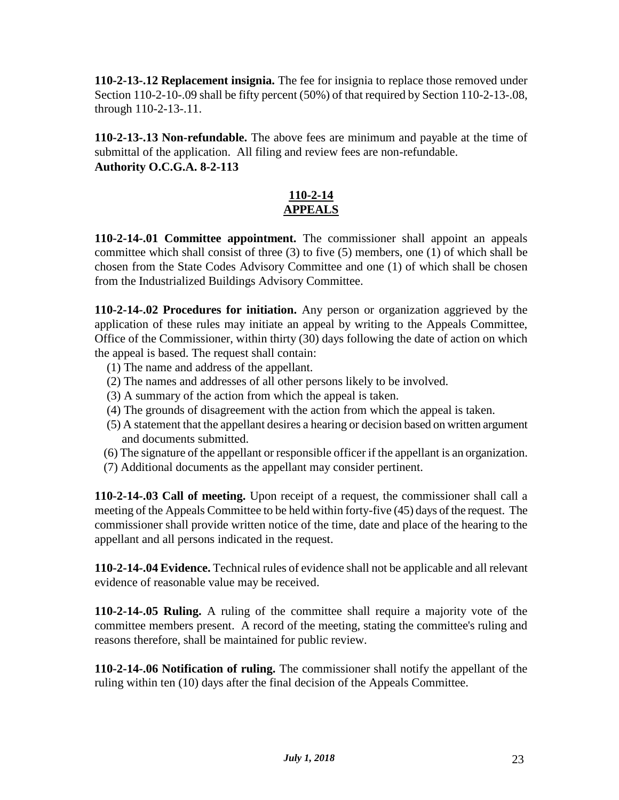**110-2-13-.12 Replacement insignia.** The fee for insignia to replace those removed under Section 110-2-10-.09 shall be fifty percent (50%) of that required by Section 110-2-13-.08, through 110-2-13-.11.

**110-2-13-.13 Non-refundable.** The above fees are minimum and payable at the time of submittal of the application. All filing and review fees are non-refundable. **Authority O.C.G.A. 8-2-113**

#### **110-2-14 APPEALS**

**110-2-14-.01 Committee appointment.** The commissioner shall appoint an appeals committee which shall consist of three (3) to five (5) members, one (1) of which shall be chosen from the State Codes Advisory Committee and one (1) of which shall be chosen from the Industrialized Buildings Advisory Committee.

**110-2-14-.02 Procedures for initiation.** Any person or organization aggrieved by the application of these rules may initiate an appeal by writing to the Appeals Committee, Office of the Commissioner, within thirty (30) days following the date of action on which the appeal is based. The request shall contain:

- (1) The name and address of the appellant.
- (2) The names and addresses of all other persons likely to be involved.
- (3) A summary of the action from which the appeal is taken.
- (4) The grounds of disagreement with the action from which the appeal is taken.
- (5) A statement that the appellant desires a hearing or decision based on written argument and documents submitted.
- (6) The signature of the appellant or responsible officer if the appellant is an organization.
- (7) Additional documents as the appellant may consider pertinent.

**110-2-14-.03 Call of meeting.** Upon receipt of a request, the commissioner shall call a meeting of the Appeals Committee to be held within forty-five (45) days of the request. The commissioner shall provide written notice of the time, date and place of the hearing to the appellant and all persons indicated in the request.

**110-2-14-.04 Evidence.** Technical rules of evidence shall not be applicable and all relevant evidence of reasonable value may be received.

**110-2-14-.05 Ruling.** A ruling of the committee shall require a majority vote of the committee members present. A record of the meeting, stating the committee's ruling and reasons therefore, shall be maintained for public review.

**110-2-14-.06 Notification of ruling.** The commissioner shall notify the appellant of the ruling within ten (10) days after the final decision of the Appeals Committee.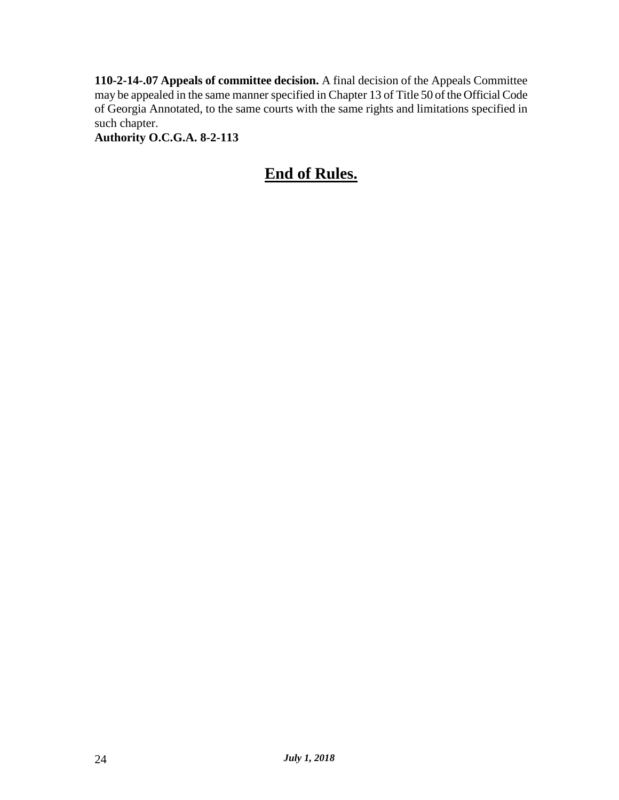**110-2-14-.07 Appeals of committee decision.** A final decision of the Appeals Committee may be appealed in the same manner specified in Chapter 13 of Title 50 of the Official Code of Georgia Annotated, to the same courts with the same rights and limitations specified in such chapter.

**Authority O.C.G.A. 8-2-113**

# **End of Rules.**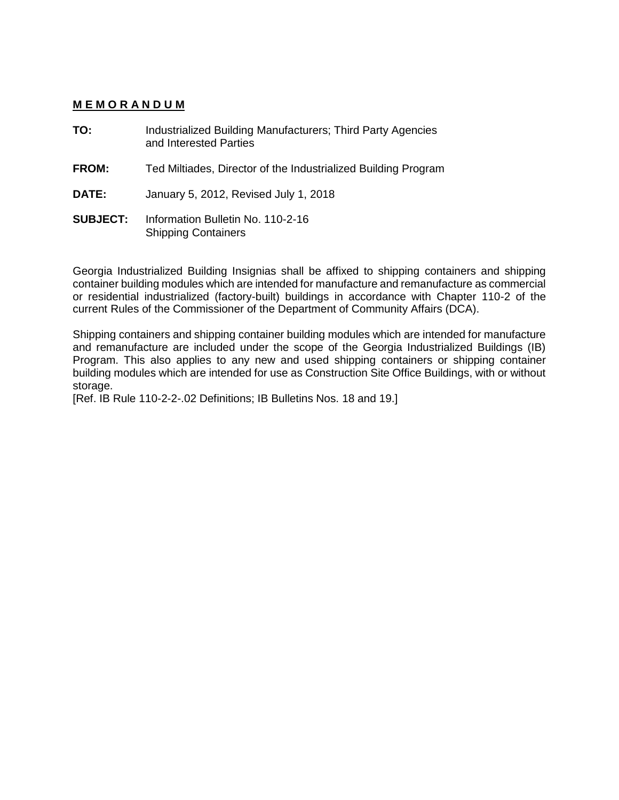- **TO:** Industrialized Building Manufacturers; Third Party Agencies and Interested Parties
- **FROM:** Ted Miltiades, Director of the Industrialized Building Program
- **DATE:** January 5, 2012, Revised July 1, 2018
- **SUBJECT:** Information Bulletin No. 110-2-16 Shipping Containers

Georgia Industrialized Building Insignias shall be affixed to shipping containers and shipping container building modules which are intended for manufacture and remanufacture as commercial or residential industrialized (factory-built) buildings in accordance with Chapter 110-2 of the current Rules of the Commissioner of the Department of Community Affairs (DCA).

Shipping containers and shipping container building modules which are intended for manufacture and remanufacture are included under the scope of the Georgia Industrialized Buildings (IB) Program. This also applies to any new and used shipping containers or shipping container building modules which are intended for use as Construction Site Office Buildings, with or without storage.

[Ref. IB Rule 110-2-2-.02 Definitions; IB Bulletins Nos. 18 and 19.]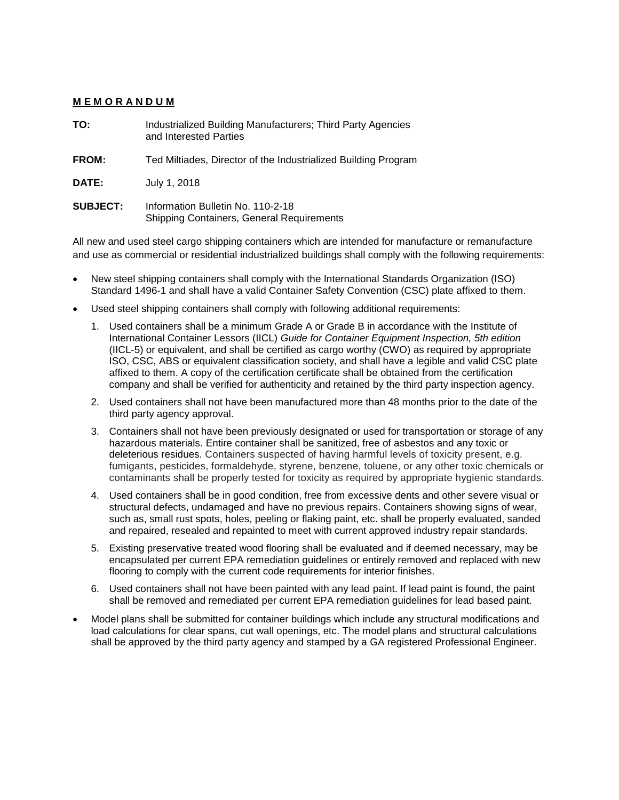| TO:             | Industrialized Building Manufacturers; Third Party Agencies<br>and Interested Parties |
|-----------------|---------------------------------------------------------------------------------------|
| FROM:           | Ted Miltiades, Director of the Industrialized Building Program                        |
| <b>DATE:</b>    | July 1, 2018                                                                          |
| <b>SUBJECT:</b> | Information Bulletin No. 110-2-18<br><b>Shipping Containers, General Requirements</b> |

All new and used steel cargo shipping containers which are intended for manufacture or remanufacture and use as commercial or residential industrialized buildings shall comply with the following requirements:

- New steel shipping containers shall comply with the International Standards Organization (ISO) Standard 1496-1 and shall have a valid Container Safety Convention (CSC) plate affixed to them.
- Used steel shipping containers shall comply with following additional requirements:
	- 1. Used containers shall be a minimum Grade A or Grade B in accordance with the Institute of International Container Lessors (IICL) *Guide for Container Equipment Inspection, 5th edition* (IICL-5) or equivalent, and shall be certified as cargo worthy (CWO) as required by appropriate ISO, CSC, ABS or equivalent classification society, and shall have a legible and valid CSC plate affixed to them. A copy of the certification certificate shall be obtained from the certification company and shall be verified for authenticity and retained by the third party inspection agency.
	- 2. Used containers shall not have been manufactured more than 48 months prior to the date of the third party agency approval.
	- 3. Containers shall not have been previously designated or used for transportation or storage of any hazardous materials. Entire container shall be sanitized, free of asbestos and any toxic or deleterious residues. Containers suspected of having harmful levels of toxicity present, e.g. fumigants, pesticides, formaldehyde, styrene, benzene, toluene, or any other toxic chemicals or contaminants shall be properly tested for toxicity as required by appropriate hygienic standards.
	- 4. Used containers shall be in good condition, free from excessive dents and other severe visual or structural defects, undamaged and have no previous repairs. Containers showing signs of wear, such as, small rust spots, holes, peeling or flaking paint, etc. shall be properly evaluated, sanded and repaired, resealed and repainted to meet with current approved industry repair standards.
	- 5. Existing preservative treated wood flooring shall be evaluated and if deemed necessary, may be encapsulated per current EPA remediation guidelines or entirely removed and replaced with new flooring to comply with the current code requirements for interior finishes.
	- 6. Used containers shall not have been painted with any lead paint. If lead paint is found, the paint shall be removed and remediated per current EPA remediation guidelines for lead based paint.
- Model plans shall be submitted for container buildings which include any structural modifications and load calculations for clear spans, cut wall openings, etc. The model plans and structural calculations shall be approved by the third party agency and stamped by a GA registered Professional Engineer.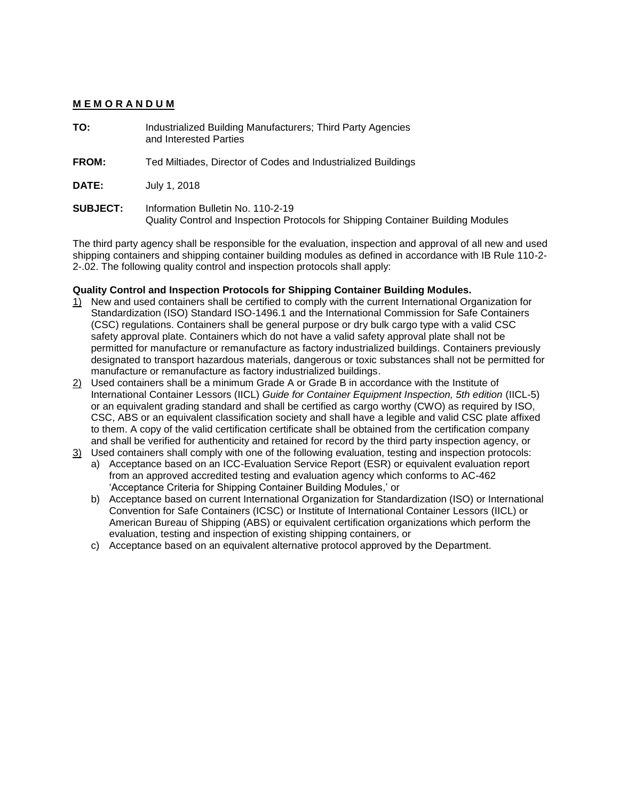| TO:             | Industrialized Building Manufacturers; Third Party Agencies<br>and Interested Parties                                 |
|-----------------|-----------------------------------------------------------------------------------------------------------------------|
| <b>FROM:</b>    | Ted Miltiades, Director of Codes and Industrialized Buildings                                                         |
| DATE:           | July 1, 2018                                                                                                          |
| <b>SUBJECT:</b> | Information Bulletin No. 110-2-19<br>Quality Control and Inspection Protocols for Shipping Container Building Modules |

The third party agency shall be responsible for the evaluation, inspection and approval of all new and used shipping containers and shipping container building modules as defined in accordance with IB Rule 110-2- 2-.02. The following quality control and inspection protocols shall apply:

#### **Quality Control and Inspection Protocols for Shipping Container Building Modules.**

- 1) New and used containers shall be certified to comply with the current International Organization for Standardization (ISO) Standard ISO-1496.1 and the International Commission for Safe Containers (CSC) regulations. Containers shall be general purpose or dry bulk cargo type with a valid CSC safety approval plate. Containers which do not have a valid safety approval plate shall not be permitted for manufacture or remanufacture as factory industrialized buildings. Containers previously designated to transport hazardous materials, dangerous or toxic substances shall not be permitted for manufacture or remanufacture as factory industrialized buildings.
- 2) Used containers shall be a minimum Grade A or Grade B in accordance with the Institute of International Container Lessors (IICL) *Guide for Container Equipment Inspection, 5th edition* (IICL-5) or an equivalent grading standard and shall be certified as cargo worthy (CWO) as required by ISO, CSC, ABS or an equivalent classification society and shall have a legible and valid CSC plate affixed to them. A copy of the valid certification certificate shall be obtained from the certification company and shall be verified for authenticity and retained for record by the third party inspection agency, or
- 3) Used containers shall comply with one of the following evaluation, testing and inspection protocols: a) Acceptance based on an ICC-Evaluation Service Report (ESR) or equivalent evaluation report
	- from an approved accredited testing and evaluation agency which conforms to AC-462 'Acceptance Criteria for Shipping Container Building Modules,' or
	- b) Acceptance based on current International Organization for Standardization (ISO) or International Convention for Safe Containers (ICSC) or Institute of International Container Lessors (IICL) or American Bureau of Shipping (ABS) or equivalent certification organizations which perform the evaluation, testing and inspection of existing shipping containers, or
	- c) Acceptance based on an equivalent alternative protocol approved by the Department.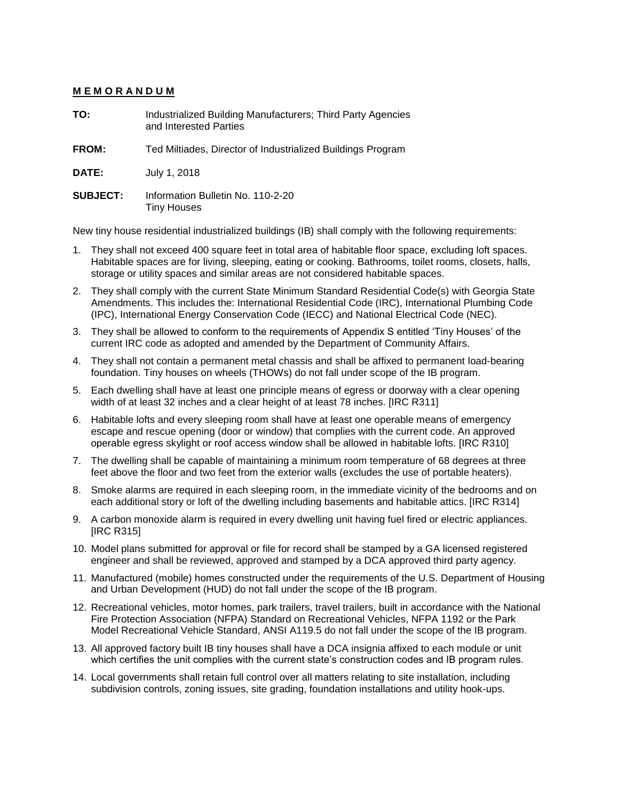| TO:             | Industrialized Building Manufacturers; Third Party Agencies<br>and Interested Parties |
|-----------------|---------------------------------------------------------------------------------------|
| <b>FROM:</b>    | Ted Miltiades, Director of Industrialized Buildings Program                           |
| <b>DATE:</b>    | July 1, 2018                                                                          |
| <b>SUBJECT:</b> | Information Bulletin No. 110-2-20                                                     |

Tiny Houses

New tiny house residential industrialized buildings (IB) shall comply with the following requirements:

- 1. They shall not exceed 400 square feet in total area of habitable floor space, excluding loft spaces. Habitable spaces are for living, sleeping, eating or cooking. Bathrooms, toilet rooms, closets, halls, storage or utility spaces and similar areas are not considered habitable spaces.
- 2. They shall comply with the current State Minimum Standard Residential Code(s) with Georgia State Amendments. This includes the: International Residential Code (IRC), International Plumbing Code (IPC), International Energy Conservation Code (IECC) and National Electrical Code (NEC).
- 3. They shall be allowed to conform to the requirements of Appendix S entitled 'Tiny Houses' of the current IRC code as adopted and amended by the Department of Community Affairs.
- 4. They shall not contain a permanent metal chassis and shall be affixed to permanent load-bearing foundation. Tiny houses on wheels (THOWs) do not fall under scope of the IB program.
- 5. Each dwelling shall have at least one principle means of egress or doorway with a clear opening width of at least 32 inches and a clear height of at least 78 inches. [IRC R311]
- 6. Habitable lofts and every sleeping room shall have at least one operable means of emergency escape and rescue opening (door or window) that complies with the current code. An approved operable egress skylight or roof access window shall be allowed in habitable lofts. [IRC R310]
- 7. The dwelling shall be capable of maintaining a minimum room temperature of 68 degrees at three feet above the floor and two feet from the exterior walls (excludes the use of portable heaters).
- 8. Smoke alarms are required in each sleeping room, in the immediate vicinity of the bedrooms and on each additional story or loft of the dwelling including basements and habitable attics. [IRC R314]
- 9. A carbon monoxide alarm is required in every dwelling unit having fuel fired or electric appliances. [IRC R315]
- 10. Model plans submitted for approval or file for record shall be stamped by a GA licensed registered engineer and shall be reviewed, approved and stamped by a DCA approved third party agency.
- 11. Manufactured (mobile) homes constructed under the requirements of the U.S. Department of Housing and Urban Development (HUD) do not fall under the scope of the IB program.
- 12. Recreational vehicles, motor homes, park trailers, travel trailers, built in accordance with the National Fire Protection Association (NFPA) Standard on Recreational Vehicles, NFPA 1192 or the Park Model Recreational Vehicle Standard, ANSI A119.5 do not fall under the scope of the IB program.
- 13. All approved factory built IB tiny houses shall have a DCA insignia affixed to each module or unit which certifies the unit complies with the current state's construction codes and IB program rules.
- 14. Local governments shall retain full control over all matters relating to site installation, including subdivision controls, zoning issues, site grading, foundation installations and utility hook-ups.